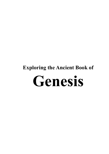# **Exploring the Ancient Book of Genesis**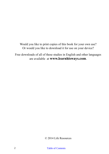Would you like to print copies of this book for your own use? Or would you like to download it for use on your device?

Free downloads of all of these studies in English and other languages are available at **www.learnhisways.com**.

© 2014 Life Resources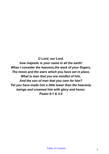*O Lord, our Lord, how majestic is your name in all the earth! When I consider the heavens,the work of your fingers, The moon and the stars which you have set in place, What is man that you are mindful of him, And the son of man that you care for him? Yet you have made him a little lower than the heavenly beings and crowned him with glory and honor. Psalm 8:1 & 3-5*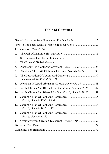## **Table of Contents**

| 1.               |                                                            |  |
|------------------|------------------------------------------------------------|--|
| $\overline{2}$ . |                                                            |  |
| 3.               |                                                            |  |
| 4.               |                                                            |  |
| 5.               | Abraham: God's Call And Covenant: Genesis 12-15 28         |  |
| 6.               | Abraham: The Birth Of Ishmael & Isaac: Genesis 16-21 35    |  |
| 7.               | Genesis 18:16-33 And 19:1-29                               |  |
| 8.               | Abraham Is Tested; Abraham's Death: Genesis 22-25 43       |  |
| 9.               | Jacob: Chosen And Blessed By God: Part 1, Genesis 25-28 47 |  |
| 10.              | Jacob: Chosen And Blessed By God: Part 2, Genesis 29-35 51 |  |
| 11.              | Part 1, Genesis 37 & 39:1-6                                |  |
| 12.              | Part 2, Genesis 39:7-41:57                                 |  |
|                  | Part 3, Genesis 42-50                                      |  |
|                  |                                                            |  |
|                  |                                                            |  |
|                  |                                                            |  |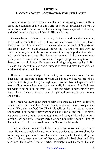## <span id="page-4-0"></span>**GENESIS LAYING A SOLID FOUNDATION FOR OUR FAITH**

Anyone who reads Genesis can see that it is an amazing book. It tells us about the beginning of life in our world. It helps us understand where we came from, and it shows us that human beings have a special relationship with God because He created them in His own image.

Genesis begins with amazing beauty. But soon it shows the beginning and growth of sin in the world. It shows how sin destroys individuals, families and nations. Many people are unaware that in the book of Genesis we find many answers to our questions about why we are here, and why the world is the way it is. It also opens our eyes to a very important fact which brings stability to our lives. This fact is that there is a God who created everything, and He continues to work out His good purposes in spite of the destruction that sin brings. He hates sin and brings judgment against it. But He also is a God with a plan and a purpose to save and bless the world. We need to understand that plan.

If we have no knowledge of our history, or of our ancestors, or if we don't have an accurate picture of what God is really like, we are like a spacecraft drifting aimlessly through space. We are like a large tree with very shallow roots which the winds can easily knock over. But God does not want us to be blind to what He is like and what is happening in this world. As we open Genesis and read it, light and hope come to our minds and hearts.

In Genesis we learn about men of faith who were called by God for His special purposes—men like Adam, Noah, Abraham, Jacob, Joseph, and others. Were they perfect? No. The Bible tells us the truth about the men and women in its pages. They were people just like you and me. But blessing came to men of faith, even though they had many trials and didn't follow the Lord perfectly. Through them God began to build a nation. Through that nation—Israel—God would send the Savior, the Messiah.

These studies are written for followers of Jesus, as you will see in each study. However, people who are not followers of Jesus but are searching for truth, may also gain much from the studies. Jesus, who lived 2,000 years after Abraham, knew the book of Genesis well and talked about it in His teachings. He quoted Genesis 2 when he taught about marriage. He also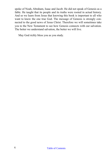spoke of Noah, Abraham, Isaac and Jacob. He did not speak of Genesis as a fable. He taught that its people and its truths were rooted in actual history. And so we learn from Jesus that knowing this book is important to all who want to know the one true God. The message of Genesis is strongly connected to the good news of Jesus Christ. Therefore we will sometimes take you to the New Testament to see how Genesis connects with our salvation. The better we understand salvation, the better we will live.

May God richly bless you as you study.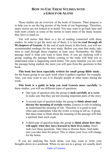## **HOW TO USE THESE STUDIES WITH A GROUP OR ALONE**

<span id="page-6-0"></span>These studies are an overview of the book of Genesis. Their purpose is to help you to see the big picture of the book of our beginnings. Therefore, many stories are not looked at in detail. You may want to go back later and look more closely at some of the stories to learn more of the many lessons they have to teach us.

You will notice that there is a lot of reading connected with these studies. In order to get the most out of them, it is best **to read through all 50 chapters of Genesis**. At the end of each lesson in this book, you will see recommended readings for the next study. Before you start that study, take time to read through those chapters at least once. Remember, the Bible passage itself is what you want to learn from. If you are studying with a group, reading the passage before coming to the study will help you to understand what is happening much better. The more familiar you are with the passage being studied, the more you will gain from the questions in this book.

**This book has been especially written for small group Bible study**... for the house group to use each week when it gathers together, for example. Also, you may want to use it to disciple people at other times during the week.

**This book is a guide to help you read Genesis more carefully.** In these studies, you will see different types of questions:

- One type of question asks the group to **look carefully at a verse** to make sure that they are not missing important parts of the story.
- A second type of question helps the group to **think about and discuss the meaning of certain verses.** Genesis is rich in helping us understand the meaning of life. Therefore it is good to stop often and contemplate what the writer is trying to tell us. A group that takes time to think about the meaning of the passage will find a spiritual feast each week.
- A third type of question helps the group to **think about how they will apply what they have learned to their lives today.** Don't rush over these questions. Take time to discuss them. And make sure you take time for prayer. This is where your lives will change for the better.

If you are studying this book alone, you may want to write your thoughts down in a notebook. When we are not in a group, we usually don't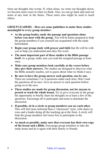form our thoughts into words. If, when alone, we write our thoughts down, we become more exact in what we think. Also, we can go back and read our notes at any time in the future. These notes also might be used to teach others.

#### **GROUP LEADERS – Here are some guidelines to make these studies meaningful to every group member:**

- **As the group leader, study the passage and questions alone before you meet with the group.** You will be better prepared to help the group members if you yourself are acquainted with the study beforehand.
- **Begin your group study with prayer and faith** that He will be with you to help you understand and obey His word.
- **The most important part of these studies is the Bible passage itself.** As a group, make sure you read the assigned passage at least once.
- **Make sure group members look carefully at the verses before they give their answers.** The studies are designed to discover what the Bible actually teaches, not to guess about what we think it says.
- **Be sure to have the group answer each question, one by one.**  There are sometimes 3 or 4 questions under each item. Don't read the questions all at once. Give an answer to each question before going on to the next.
- **These studies are made for group discussion, not for anyone to preach or teach the whole lesson.** Try to give everyone in the group the opportunity to briefly share his thoughts on at least a few of the questions. Encourage all to participate and none to dominate the discussion
- **If possible, sit in a circle so group members can see each other.**  This will feel more informal than a "classroom" style, with chairs in rows and a leader doing all the teaching up at the front. A circle will help the group members feel more free to participate in the discussion.
- **As much as possible, make sure that everyone has their own copy of the lesson and a Bible.** Encourage group members to take the study home and do it again with their family or friends.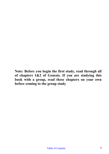**Note: Before you begin the first study, read through all of chapters 1&2 of Genesis. If you are studying this book with a group, read these chapters on your own before coming to the group study**.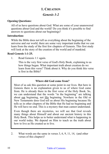## **1. CREATION**

## *Genesis 1-2*

#### <span id="page-9-0"></span>**Opening Questions:**

All of us have questions about God. What are some of your unanswered questions about God and the world? Do you think it's possible to find answers to questions about our beginnings?

#### **Introduction:**

While the Bible does not tell us everything about the beginning of the universe and our world, there are some very important truths that we can learn from the study of the first few chapters of Genesis. This first study will look at the story of the creation of the world and of mankind.

#### **Read Genesis 1:1-25.**

1. Read Genesis 1:1 again.

This is the very first verse of God's Holy Book, explaining to us how things began. What important truth about creation do we learn from this verse? Think about it. Why do you think this verse is first in the Bible?

#### **Where did God come from?**

Most of us ask this question at some point in our lives. But here in Genesis there is no explanation given to us of where God came from. He is already there in the first verse of the Holy Book. So, we can understand that the words "in the beginning" are talking about our beginning, not His beginning. Nowhere in the Old or New Testaments does God tell us about His beginning because He tells us in other chapters of the Bible that He had no beginning and He will have no end. This is a mystery that man cannot understand.

Even though there are mysteries, we will see that God reveals many things about Himself and about our ancient history in this Holy Book. This helps us to better understand what is happening in our world today. We depend on Him to teach us the truth about how to live as He created us to live.

<sup>2.</sup> What words are the same in verses 3, 6, 9, 11, 14, (and other verses of this chapter)?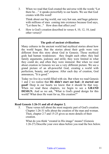3. When we read that God created the universe with the words "Let there be…" it speaks powerfully to our hearts. We see that God creates with His word!

Think about our big world, our very hot sun, and huge galaxies with millions of stars coming into existence because God says, "Let there be..." How does that affect you?

4. How is God's creation described in verses 4, 10, 12, 18, (and other verses)?

#### **The gods of ancient civilizations**

Many cultures in the ancient world had mythical stories about how the world began. But the stories about their gods were very different from this story about God in Genesis. Those mythical gods had human weaknesses: they fought each other; they had family arguments, jealousy and strife; they were limited in what they could do; and often they were immoral. But when we read about creation in Genesis we see a very different picture. We see a grand picture of an all-powerful God, creating a world with perfection, beauty, and purpose. After each day of creation, God announces, "It is good."

Today we live in a world filled with sin. But when we read Genesis 1 and 2 we realize that **life didn't start out bad—it started out good!** Deep in our hearts we know that it should be that way. When we read these chapters, we begin to see a **GRAND DESIGN.** And so we ask, "What is God's grand design for this world? What does He want for us, His creation?"

#### **Read Genesis 1:26-31 and all of chapter 2.**

5. These verses tell about the most majestic part of God's creation. Chapter 1:26-31 tells about the creation of the man and woman. Then, chapter 2:7 and 15-25 gives us more details of their creation.

What do you think "created in His image" means? (Genesis 1:26-27) Describe your own ideas before you read the box below.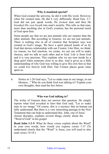#### **Why is mankind special?**

When God created the universe, he did it with His word. However, when He created man, He did it very differently. Read Gen. 2:7. God did not just speak words, He *formed* man and then He *breathed His own breath* into man's nostrils. This tells us that man, more than anything else in God's creation, has the personal touch of God upon him.

Some people say that we are just animals who are smarter than the other animals. But according to Genesis, we are not just animals. There is nothing else in all of creation that Scripture says was created in God's image. We have a spirit placed inside of us by God that desires relationship with our Creator. Like Him, we think, we reason, we feel emotion, we create, we use our will to make choices, and we talk to each other and to God. Life is from God and it is very precious. This explains why we are torn inside by a deep grief when someone close to us dies. And it gives us a little understanding of why God was willing to give His own Son so that we could live forever with Him. Our Creator places great value upon us.

6. Notice in 1:26 God says, "Let *us* make man in our image, in our likeness..." Who do you think God was talking to? Explain your own thoughts, then read the box below.

#### **Who was God talking to?**

The writer of Genesis does not answer that question. He simply reports what God revealed to him--that God said, "Let *us* make man in *our* image." Of course, this is a mystery that no human can fully understand. But there is a very interesting passage in the New Testament that can help us understand this. John, one of Jesus' closest disciples, explains several things clearly about the "Word of God" in his gospel.

**Read John 1:1-5**. What do these verses explain about the Word? In your own words, how would you express verses 1-3? (To understand clearly that the "Word" is Jesus, you will need to also read verses 14-18.)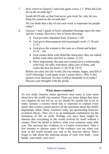7. Now return to Genesis 2 and read again verses 1-3. What did God do on the seventh day?

Isaiah 40:28 tells us that God never gets tired. So, why do you think He rested on the seventh day?

Do you think that a day of rest each week is important for people today?

- 8. Genesis 1 and 2 speak of God's abundant blessings upon the man and the woman. Here are a few of those blessings:
	- God provides abundant food. (Genesis 1:29)
	- God gives them purpose and meaningful work. (1:28 and 2:15)
	- God gives the woman to the man as a friend and helper.  $(2:18 - 24)$
	- God creates them with child-like innocence; they are naked before each other and feel no shame. (2:25)
	- Most importantly, the man and woman have a relationship with God. He talks with them, takes care of them, and wants the best for them. (1:28-29 & 3:8-9)

Before sin came into the world, life was simple, happy, and full of God's blessings. Look again at the 5 points above. Why is this picture of an innocent, sin-free world so beautiful to us today? Discuss your thoughts with the group.

#### **What about evolution?**

As you study Genesis, many questions may come to your mind about how the world was created. There are many things that these two chapters do not tell us, so we should be careful not to try to make Genesis a science book that is expected to explain every detail. But science cannot answer all the questions about the earth's beginnings either. Many scientists today are questioning Darwin's evolution theory. They see it as an inadequate explanation for the formation of life on earth. Perhaps you have been taught by atheists that everything in the world evolved by itself without a creator. Don't be afraid to believe what your common sense tells you. The universe has evidence of a Creator everywhere. Take a few minutes to discuss some of the evidence you see when you look at the world around you and at the heavens above. Don't forget to talk about the amazing design of your own body—your hands, your mind, your eyes!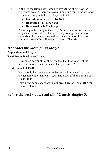- 9. Although the Bible does not tell us everything about how the world was created, there are several important things the writer of Genesis is trying to tell us in Chapters 1 and 2:
	- **Everything was created by God**
	- **He created it all very good**
	- **He created us in His image**

As we begin this study of Genesis, it's important for us to see not only an all-powerful God but also a very loving Creator who cares about his creation. We will see much more of this as we continue through the following chapters of Genesis.

## *What does this mean for us today?*

## **Application and Prayer**

#### **Read Psalm 100:3** several times.

1) How much do you think about the fact that the Creator of the universe has also made you, and that you are His?

#### **Read Psalm 139:13-18.**

- 2) How should it change our attitudes and actions each day if we always remember that our Creator has a beautiful plan for all of His creation?
- 3) Take a few minutes to worship our great Creator. Thank Him for His care of you.

## **Before the next study, read all of Genesis chapter 3.**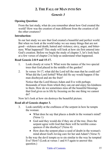## **2. THE FALL OF MAN INTO SIN**

## *Genesis 3*

#### <span id="page-14-0"></span>**Opening Question:**

From the last study, what do you remember about how God created the world? How was the creation of man different from the creation of all the other creatures?

#### **Introduction:**

In our last study we saw that God created a beautiful and perfect world. But when we look at the world today we see many things that are not good—sickness and death; hatred and violence; envy, anger, and bitterness. What happened? This study will look at how sin first entered into God's creation. Before we begin the study of chapter 3, let's look back at a few verses of chapter 2 to help us understand what happened.

#### **Read Genesis 2:8-9 and 15-17.**

- 1. Look closely at verse 9. What were the names of the two special trees that God placed in the middle of the garden?
- 2. In verses 16-17, what did the Lord tell the man that he could eat? What did the Lord forbid? What did He say would happen if the man disobeyed and ate the fruit?

Notice that the Lord blesses Adam and Eve with perhaps thousands of trees from which they can eat and enjoy his kindness to them. How do we sometimes miss all the beautiful blessings that God gives us in life by focusing on the one thing we cannot do?

Now let's look at how sin destroys the beautiful picture.

#### **Read all of Genesis chapter 3.**

- 3. Look carefully at the craftiness of the serpent in how he tempts the woman:
	- What does he say that places a doubt in the woman's mind? (Verse 1)
	- God said they would die if they ate of the tree. Does the serpent agree with God that there will be terrible consequences if she disobeys? (Verse 4)
	- How does the serpent place a seed of doubt in the woman's mind about God's loving care for her and Adam? (Verse 5)

Is the way the devil tempts us to sin similar to the way he tempted Eve? How? (Look at verses 1 and 4-5 again to answer this question.)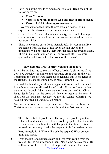- 4. Let's look at the results of Adam and Eve's sin. Read each of the following verses:
	- **Verse 7: shame**
	- **Verses 8 & 9: hiding from God and fear of His presence**
	- **Verses 12 & 13: blaming someone else**

Have you experienced these things? Explain how all of us experience the above consequences when we sin.

- 5. Genesis 1 and 2 speak of abundant beauty, peace and blessings in God's creation. Name all the curses that are described in chapter 3, verses 14-19.
- 6. There is one more curse. Read Genesis 3:22-24. Adam and Eve are banned from the tree of life. Even though they didn't immediately die physically, their spiritual death occurred that day. Their intimate communion with God was cut off. They were spiritually lost. How is this the worst of the curses?

#### **How does the first sin affect you and me today?**

It will be hard for us to see the effect of Adam's sin on us if we don't see ourselves as sinners and separated from God. In the New Testament, the apostle Paul helps us understand this in his letter to the Romans. Please take time now to read **Romans 5:12-19**.

Spiritual death and physical death began with Adam and continued in the human race as all participated in sin. If we don't realize that we are lost through Adam, then we won't see our need for Christ. Jesus' death for us on the cross will have no meaning. Romans 5 shows us the truth that because we are all Adam's offspring, we have all inherited his sinful, fallen nature.

We need a second birth—a spiritual birth. We must be born into Christ to escape the curse that came through the first man, Adam.

- 7. The Bible is full of prophecies. The very first prophecy in the Bible is found in Genesis 3. It is a prophecy spoken by God to the serpent about something that will happen in the future. It is a mysterious prophecy. It tells the serpent of his future destruction. Read Genesis 3:15. Who will crush the serpent? What do you think this means?
- 8. Even though God banned Adam and Eve from eating from the tree of life, He didn't abandon them. Nor did he destroy them. He still cared for them. Notice that he provided clothes for them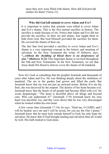since they now were filled with shame. How did God provide clothes for them? (Verse 21)

#### **Why did God kill animals to cover Adam and Eve?**

It is important to notice that animals were killed to cover Adam and Eve's shame. This is the first animal sacrifice in history. The sacrifice is made because of sin. Notice that Adam and Eve did not provide the sacrifice. In their sin and shame, fear taught them to hide from God. But God Himself provided the sacrifice for them. He covered the shame of their sin.

The fact that God provided a sacrifice to cover Adam and Eve's shame is a very important concept in the history and meaning of salvation. In the New Testament the writer of Hebrews says: *"...without the shedding of blood there is no forgiveness of sins." (Hebrews 9:22)* This important theme is covered throughout the Old and New Testaments. In the New Testament, we see that Jesus sheds His blood to forever cover the shame of all mankind.

Now let's look at something that the prophet Jeremiah said thousands of years after Adam and Eve. He was thinking deeply about the sinfulness of mankind. The sin in the garden had grown and filled the earth. But Jeremiah knew that sin was not just an outward action. Before Eve ate the fruit, she was deceived by the serpent. The desires of her heart became evil. Jeremiah knew that the hearts of all people had become filled with evil. He wrote despairingly: "The heart is deceitful above all things and beyond cure. Who can understand it?" (Jeremiah 17:9) Jeremiah knew his own heart was deceitful, too, and this verse shows that he was very discouraged when he looked within his own heart.

A few verses later (Jeremiah 17:14), he says: "Heal me, O LORD, and I will be healed; save me and I will be saved, for you are the One I praise." Jeremiah knew that he must look outside himself to God, his only hope for salvation. He knew that if God brought healing and salvation then all would be well. His faith looked to God alone.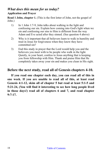## *What does this mean for us today?*

#### **Application and Prayer**

**Read 1 John, chapter 1.** (This is the first letter of John, not the gospel of John.)

- 1) In 1 John 1:7-9, John talks about walking in the light and confessing our sin. Explain how coming into God's light when we sin and confessing our sins to Him is different from the way Adam and Eve acted after they sinned. (See question 4 above)
- 2) Why is it important that all believers learn to walk in humility and trust in Jesus for forgiveness when they know they have committed sin?
- 3) End this study in prayer that the Lord would help you and the believers you meet with to be people who walk in the light. Quietly, in your heart, confess to Jesus anything that is keeping you from fellowship with Him. Thank and praise Him that He completely takes away your sin and makes you clean in His sight.

## **Before the next study, read all of Genesis chapters 4-10.**

**If you read one chapter each day, you can read all of this in one week. If you are unable to read all of this, at least read Genesis 4:1-12, skim all of chapter 5 but read at least 5:1-5 and 5:21-24, (You will find it interesting to see how long people lived in those days!) read all of chapters 6 and 7, and read chapter 9:7-17.**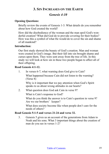## **3. SIN INCREASES ON THE EARTH**

## *Genesis 4-10*

#### <span id="page-18-0"></span>**Opening Questions:**

Briefly review the events of Genesis 1-3. What details do you remember about how God created the world?

How did the disobedience of the woman and the man spoil God's wonderful creation? What did God do to provide covering for their bodies? How was this a symbol of what He would do to cover the sin and shame of all mankind?

#### **Introduction:**

Our first study showed the beauty of God's creation. Man and woman were created in God's image. But their fall into sin brought shame and curses upon them. They were sent away from the tree of life. In this study we will look at how sin in these two people began to affect all of their offspring.

#### **Read Genesis 4:1-12.**

1. In verses 6-7, what warning does God give to Cain?

What happened because Cain did not listen to the warning? (Verse 8)

Why is it important that we pay attention when God's Spirit speaks to us about wrong attitudes in our hearts?

2. What question does God ask Cain in verse 9?

What is Cain's response to God?

What do you think the answer is to Cain's question in verse 9? Are we our brothers' keeper?

What does society become like when people don't care for the needs of others?

#### **Read Genesis 5:1-5 and verses 21-24 and verse 32.**

3. Genesis 5 gives us an account of the generations from Adam to Noah and his sons. What 3 important things about the creation of man do you see in verses 1-2?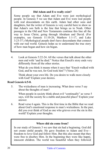#### **Did Adam and Eve really exist?**

Some people say that Adam and Eve were just mythological people. In Genesis 5 we see that Adam and Eve were real people with real descendants on this earth. Adam had other sons and daughters, but the writer of Genesis is very careful here to show us that Adam's son Seth is the line that brings us to Noah. Other passages in the Old and New Testaments continue this line all the way to Jesus Christ, going through Abraham and David. (For examples, see Genesis 11:10-26, Matthew 1:1-17, and Luke 3:23-37.) Mythological people don't have descendants that connect with our real world. Genesis helps us to understand the true story of how man began and how sin began.

4. Look at Genesis 5:22-24. All the verses that talk about the other men end with "and he died." Notice that Enoch's story ends very differently from all the other stories.

What do you think it means when it says that "Enoch walked with God, and he was not, for God took him"? (Verse 24)

Think about your own life. Do you desire to walk more closely with God? Explain your desires.

#### **Read Genesis 6:5-8.**

5. The wickedness of man is increasing. What does verse 5 say about the thoughts of man?

When people in society think about evil "continually" as verse 5 says, will the society be a stable and peaceful place? Explain your answer.

6. Read verse 6 again. This is the first time in the Bible that we read about God's emotional response to man's wickedness. In the past, did you ever think of God as one who grieves over the sin in this world? Explain your thoughts.

#### **Where did sin come from?**

In our study of Genesis 3 we saw that sin had a beginning. God did not create sinful people. He gave freedom to Adam and Eve freedom to love God and follow Him. But this also meant that they were free to disobey Him. In the beginning they were like happy, innocent children. The world was beautiful when they followed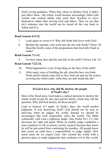God's loving guidance. When they chose to disobey God, it didn't just affect them—the whole world became increasingly filled with violent and wicked adults who used their freedom to serve themselves rather than serving God and others. Thus we see that sin's entrance into the world can be traced all the way back to Adam and Eve.

#### **Read Genesis 6:9-22.**

- 7. Look again at verses 8-9. Why did Noah find favor with God?
- 8. Besides the animals, who went into the ark with Noah? (Verse 18) Describe briefly some of the preparations that God tells Noah to make?

#### **Read Genesis 7:1-12.**

9. For how many days did the rain fall on the earth? (Verses  $4 \& 12$ )

#### **Read Genesis 7:22-24.**

- 10. What happened to every living thing on the face of the earth?
- 11. After many years of building the ark, describe how you think Noah and his family must feel as they look out and see the waters covering the whole earth, while they are safe inside the ark?

#### **If God is love, why did He destroy the people of Noah's day?**

Here in the flood story, God makes a radical decision to destroy the whole world except for one man and his family. Some may ask the question: Why did God destroy all those people?

Look at Genesis 6:5 again. In Noah's days, the world needed judgment. It was destroying itself! God should not be seen as unloving when he judges the world. Instead we should be encouraged that God responsibly rules the world. The Bible continually calls God a righteous judge. (See Psalm 94:1-15.) His decisions are right and good. When an earthly judge condemns a mass murderer to life in prison, society rejoices because they know he will be prevented from continuing his murders. All people know that courts on earth have a responsibility to judge rightly. How much more do we expect God, who created the world with a glorious plan, to make judgments that condemn evil in this world.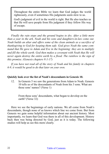Throughout the entire Bible we learn that God judges the world righteously, even if sometimes His judgments seem slow to us.

God's judgment of evil in the world is right. But He also teaches us that He will save people from His judgment if they follow His way of escape.

*Finally the rain stops and the ground begins to dry. After a little more than a year in the ark, Noah and his sons and daughters-in-law come out. Noah builds an altar and offers some of the clean animals as a sacrifice of thanksgiving to God for keeping them safe. God gives Noah the same command that He gave to Adam and Eve in the beginning: they are to multiply and fill the whole earth. God then makes a covenant with Noah that He will never again destroy the entire earth by a flood. The rainbow is the sign of this promise. (Genesis chapters 9:1-17)*

*If you have not read all of the story of Noah and his family in chapters 6-9, it would be good to do that later on your own.*

#### **Quickly look over the list of Noah's descendants in Genesis 10.**

12. In Genesis 5 we saw the generations from Adam to Noah. Genesis 10 tells us of the descendants of Noah from his 3 sons. What are those sons' names? (Verse 1)

From these sons' descendants, what began to develop on the earth? (Verse 32)

Here we see the beginnings of early nations. We all come from Noah's descendants, though none of us knows which line we come from. But from Genesis we gain some helpful information about our ancient history. Most importantly, we learn that God was there in all of this development. History back then was being directed by God, just as it is today. The following studies will help us see this more clearly.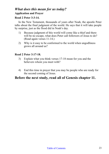## *What does this mean for us today?*  **Application and Prayer**

#### **Read 2 Peter 3:3-14.**

In the New Testament, thousands of years after Noah, the apostle Peter talks about the final judgment of the world. He says that it will take people by surprise, just as the flood did in Noah's day.

- 1) Because judgment of this world will come like a thief and there will be no escape, what does Peter call followers of Jesus to do? (Read again verses 11-14.)
- 2) Why is it easy to be conformed to the world when ungodliness grows all around us?

#### **Read 2 Peter 3:17-18.**

- 3) Explain what you think verses 17-18 mean for you and the believers whom you meet with?
- 4) End this time in prayer that you may be people who are ready for the second coming of Jesus.

## **Before the next study, read all of Genesis chapter 11.**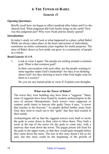## **4. THE TOWER OF BABEL**

## *Genesis 11*

#### <span id="page-23-0"></span>**Opening Questions:**

Briefly recall how sin began to affect mankind after Adam and Eve disobeyed God. What judgment did God finally bring on the earth? How was this judgment just? Why were Noah and his family spared?

#### **Introduction:**

In today's study we will look at what happened in a place called Babel. While sin always takes place in the heart and actions of individuals, sometimes an entire community joins together for sinful purposes. The story of Babel shows us how pride can grow in a community of people as a whole.

#### **Read Genesis 11:1-9.**

1. Look at verse 4 again. The people are uniting around a common goal. What is that common goal?

In their conversation with each other, are the people wanting to unite together under God's leadership? Are they even thinking about God? Are they desiring to know what God might want for them as a society?

Do you see any human pride in verse 4? Explain your thoughts.

#### **What was the Tower of Babel?**

The tower they were building may have been a "ziggurat." Many ruins of ziggurats have been found by modern archaeologists in the area of ancient Mesopotamia. Such towers were supposed to connect earth (men) to heaven (the gods) Verse 4 says, "a tower that reaches to the heavens." As people drifted further away from God, they tried to reach out to the "gods" that they had created in their minds.

Archaeologists tell us that the ziggurat towers were built to invite the gods to come down to their cities to bless them. They built a room at the top of the tower for the gods to come into, with a stairway that went down the tower. The pagan priests left food for the gods in the upper room, so that they would gain strength before they came down the stairs. The text in this story doesn't tell us for sure, but this story could be the beginning of the growth of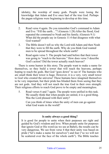idolatry, the worship of many gods. People were losing the knowledge that Adam and Eve once had of the true God. Perhaps the pagan religions were beginning to develop at this time.

- 2. Read verse 4 again. Do you remember God's command to Adam and Eve: "Fill the earth…"? (Genesis 1:28) After the flood, God repeated the command to Noah and his family. (Genesis 9:1) What did the people say in Genesis 11:4 that disagrees with what God wanted?
- 3. The Bible doesn't tell us why the Lord told Adam and then Noah that they were to fill the earth. Why do you think God wanted men to be spread throughout the whole earth?
- 4. Read again verse 5. The people had said before that their tower was going to "reach to the heavens." How does verse 5 describe God's action? Did the tower actually reach heaven?

There is some humor in this story. The people want to make a name for themselves, so they build a tower that will reach the heavens, perhaps hoping to reach the gods. But God "goes down" to see it! The humans who are small think their tower is huge. However, it is a very, very small tower to God who created the universe! These humans have imagined themselves to be very important, but their pride has blinded them from seeing that they are not gods. And they will not reach the true God in their own strength. Their religious efforts to reach God prove to be empty and meaningless.

5. Read verses 6 and 7 again. The people were unified in this task. We usually think that when people are united, it is a good thing. Was the Lord pleased with their unity?

Can you think of times when the unity of men can go against what God wants in the world?

#### **Is unity always a good thing?**

It is good for people to unite when their purposes are right and guided by God's wisdom and love. When people unite for purposes that ignore God or His word (as we see at Babel), the results can be very dangerous. We see from verse 4 that their unity was based on pride ("let's make a name for ourselves") and fear ("so we will not be scattered over the face of the whole earth"). The Bible teaches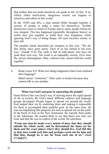that neither fear nor pride should be our guide in life. In fact, if we follow either motivation, dangerous results can happen to ourselves and others in this world.

In the 1930's and 40's, a man named Hitler brought together a society of people to make a name for themselves. Terrible destruction came to much of Europe and to many people before he was stopped. This has happened repeatedly throughout history as sinful men join together to build their own kingdoms, while ignoring God's way of doing things. All such societies sooner or later fall

The prophet Isaiah described our situation in this way: "We all, like sheep, have gone astray. Each of us has turned to his own way." (Isaiah 53:6) The earth is full of individuals who have all gone their own way. The result is an unhealthy society. Over time the society disintegrates. Man, without God, cannot hold his world together.

6. Read verses 8-9. What two things happened when God confused their language?

Babel means "confusion." Their unity is broken because they cannot talk to one another.

#### **What was God's purpose in separating the people?**

Some believe this was God's way of slowing down the rapid spread of sin in society. By God's hand, different cultures and language groups developed. People began to spread out around the world. God judged their sin by scattering them and making it impossible for them to accomplish their prideful goal. At the same time, He was accomplishing His purposes for men to spread out on the earth. In the book of Acts in the New Testament, the Apostle Paul spoke to the Athenians. He wanted them to see that there was only one God, and that He was in control of the world. He told them:

**"From one man he made every nation of men, that they should inhabit the whole earth; and he determined the times set for them and the exact places where they should live. God did this so that men would seek him and perhaps reach out for him and find him, though he is not far from each one of us." (Acts 17:26&27)**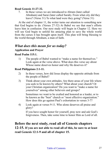#### **Read Genesis 11:27-32.**

7. In these verses we are introduced to Abram (later called Abraham) and Sarai (later called Sarah). From what city did they leave? (Verse 31) To what land were they going? (Verse 31)

At the end of chapter 11, the writer turns our attention to something new that God begins to do. (Verses 27-32) At Babel we see that man's efforts leave him in confusion. Our next study will begin in Chapter 12. Here we will see God begin to unfold his amazing plan to save the whole world from the curses it has brought upon itself. This plan will bring blessing to the world through Abraham, a man of faith.

## *What does this mean for us today?*

#### **Application and Prayer**

#### **Read Psalm 115:1.**

1) The people of Babel wanted to "make a name for themselves." Look again at the verse above. What does this verse say about Whose name deserves honor and why He deserves it?

#### **Read Philippians 2:1-11.**

- 2) In these verses, how did Jesus display the opposite attitude from the people of Babel?
- 3) Think about your own attitudes. Are there areas of your life where you seek to be known by others? What about your church? Or your Christian organization? Do you want to "make a name for yourselves" among other believers and groups?

Sometimes we want to be exalted and honored as a leader, or to be known as the "best" church or "most effective organization." How does this go against Paul's exhortation in verses 3-7?

4) Look again at verses 9-11. Who alone deserves all praise and glory?

If you have sought honor for yourself, pray now and ask God's forgiveness. Then, take some time to honor Him as Lord of all.

## **Before the next study, read all of Genesis chapters 12-15. If you are not able to read all of this, be sure to at least read Genesis 12:1-9 and all of chapter 15.**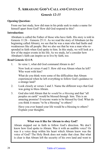## <span id="page-27-0"></span>**5. ABRAHAM: GOD'S CALL AND COVENANT**

## *Genesis 12-15*

#### **Opening Question:**

From our last study, how did man in his pride seek to make a name for himself apart from God? How did God respond to this?

#### **Introduction:**

Abraham is called the Father of those who have faith. His story is told in Genesis 11:26 – Genesis 25:11. As we read the story of Abraham (at the beginning called Abram), we see that he was a man who had faults and weaknesses like all people. But we also see that he was a man who responded in faith when God spoke to him. In this study, we will look at a few of the major events in his life. As we study, let's consider how Abraham's faith can inspire us to live by faith, too.

#### **Read Genesis 12:1-9.**

1. In verse 1, what did God command Abram to do?

Now look at verses 4 and 5. How old was Abram when he left? Who went with him?

What do you think were some of the difficulties that Abram experienced when he left everything to follow God's guidance to a strange land?

- 2. Look closely at verses 2 and 3. Name the different ways that God was going to bless Abram.
- 3. God also told Abram that *he would be a blessing* and that "all peoples on earth" would be blessed through him. This is an amazing promise! Everyone wants to be blessed by God. What do you think it means "to be a blessing" to others?

Have you ever hoped your life would be a blessing to others? Explain your thoughts.

#### **What was it like for Abram to obey God?**

Abram stepped out in faith to follow God's direction. We don't know how God spoke to Abram. Was it with an audible voice? Or was it a voice deep within his heart which Abram knew was the voice of God? The Holy Book does not make that clear. But what is clear is that Abram left the security of his own land and went to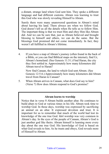a distant, strange land where God sent him. They spoke a different language and had different customs. Abram was learning to trust this God who was slowly revealing Himself to Abram.

Surely there were many unanswered questions in Abram's mind about leaving his land. There always are when we follow God. God doesn't tell us all the details when He tells us to follow Him. The important thing is that we trust Him and obey Him like Abram did. And we can be sure that, just as Abram believed and brought blessing to himself and others, we can do the same. But the blessings God promised did not come immediately. In fact, they weren't all fulfilled in Abram's lifetime.

4. If you have a map of Abram's journey (often found in the back of a Bible, or you can find Biblical maps on the internet), find Ur, Abram's homeland. (See Genesis 11:31.) Find Haran, the city they first settled in. Approximately how many kilometers did Abram travel to Haran?

Now find Canaan, the land to which God sent Abram. (See Genesis 12:5-6.) Approximately how many kilometers did Abram travel from Haran to Canaan?

5. When Abram arrives in Canaan, what does God say to him? (Verse 7) How does Abram respond to God's promise?

#### **Abram learns to worship**

Notice that in verse 8 Abram builds another altar. He continues to build altars to God at various times in his life. Abram took time to worship God. In those days, worship was expressed by sacrificing an animal on an altar. It expressed devotion and trust. It is important for us to remember that much of the world had lost its knowledge of the one true God. Idol worship was very common in Abram's day. In the eyes of the people of Canaan, Abram's God is just another god like theirs. Abram himself is learning more every day about the one true God. His knowledge of God is based on what God reveals to him. As he trusts and obeys, God reveals more of Himself to Abram.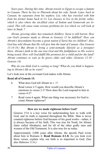*Years pass. During this time, Abram travels to Egypt to escape a famine in Canaan. There he lies to Pharaoh about his wife, Sarah. Later, back in Canaan, he separates from his nephew, Lot, who has traveled with him from his former home back in Ur. Lot chooses to live in the fertile valley, which is also where the sin-filled cities of Sodom and Gomorrah are located. This will cause some serious problems for Lot which we will look at later in Study 7.* 

*Abram, growing older, has remained childless. Sarai is still barren. How can God's promise made to Abram in Genesis 12 be fulfilled? How can Abram's descendants become a great nation if Sarai has no children? Also, God has told Abram that He will give him the land of Canaan. (See Genesis 13:14-18.) But Abram is living a semi-nomadic lifestyle as a foreigner there. Abram's faith in the one true God and His faithfulness to His word is being tested. How will God fulfill His promises for a child and for the land? Abram continues to wait as he grows older and older. (Genesis 12:10 – Genesis 14)*

*Why do you think God is waiting so long? What do you think is happening in Abram's life as he waits?*

Let's look now at the covenant God makes with Abram.

#### **Read all of Genesis 15.**

6. What does God tell Abram in v. 1?

Read verses 2-5 again. How would you describe Abram's emotions in verses 2-3? How does the Lord respond to him in verses 4-5?

7. Read verse 6 again. What one thing was necessary for God to count Abram righteous?

#### **How are we made righteous before God?**

Genesis 15:6 is a key verse for understanding how to walk with God, and its truth is repeated throughout the Bible. Man is never counted righteous before God because of his good works—rather, it is always because of his faith. This was true for Noah, for Abram (later called Abraham), and for all of the other godly men and women of the Old Testament. It is also true for us today.

Approximately 2,000 years after Abram, the apostle Paul wrote about him in Romans 4. **Read Romans 4:1-8.** As you look over these verses, explain why our faith is so important to God. (See also Hebrews 11:6.)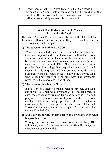8. Read Genesis 15:17-21. Verse 18 tells us that God made a covenant with Abram. Before you read the box below, discuss this question: How do you think God's covenants with man are different from earthly contracts between people?

#### **What Does It Mean For God to Make a Covenant with People?**

The word "covenant" is used many times in the Old and New Testaments. Here are a few things the Holy Book teaches us about God's covenants with people.

#### 1) **The covenant is initiated by God.**

When two people today enter into a contract with each other, they each help to decide what the contract will include. Both sides are equal partners. This is not the case in a covenant between God and man. God comes to man and calls him to enter into covenant with Him. The covenant involves a promise God is making. God steps into man's world and shows him his purposes and His promise to fulfill those purposes. In the covenants of the Bible, we see a loving God who is guiding history in a positive way. The covenants reveal to us the marvelous plans of God.

#### 2) **The covenant is a bond of love.**

It is a sign of a deeply personal relationship between God and those He is making a covenant with. God calls men to enter the covenant by trusting Him and following His good purposes. This personal relationship is very different from the fear relationship that people had with idols. In God's covenant with the Jewish people in later books of the Old Testament, He calls them His people. They respond by calling Him their God.

#### **3) God is always faithful to His part of the covenant, even when his people are not.**

Throughout history, man has often gone into idolatry. His will is very weak. God makes it clear that He will always do what He has said He will do.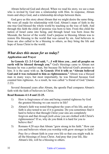Abram believed God and obeyed. When we read his story, we see a man who is invited by God into a relationship with Him. In response, Abram trusts and obeys God, and a relationship develops between them.

God gave us this story about Abram that we might desire the same thing. We were all made for relationship with God. Abram's steps of faith in the one true God blessed the whole world by teaching us the way of faith. And through this faith the child of promise was born to him. From this child the nation of Israel came into being, and through Israel was born Jesus the Messiah, the Savior of the world. God's purpose in blessing Abram was to restore His blessing to the world that was cursed by sin. And believers in Jesus are also called to be a blessing to others, as they bring the life and hope of Jesus Christ to the world.

## *What does this mean for us today?*

#### **Application and Prayer**

**In Genesis 12: 2-3 God said, "…I will bless you…and all peoples on earth will be blessed through you."** God's blessings came to Abram not because he was a perfect man, but because He believed God's promises to him. It is the same with us. **In Genesis 15:6 it tells us "Abram believed God and it was reckoned to him as righteousness."** Abram was a blessed man in many ways, but most importantly, he was blessed because God counted him righteous. As a result, he was called "a friend of God."(James 2:23)

Several thousand years after Abram, the apostle Paul compares Abram's faith with the faith of believers in Christ.

#### **Read Romans 4:1-8 and 22-25.**

- 1) How is forgiveness of sins and being counted righteous by God the greatest blessing we can receive in life?
- 2) Abram's faith was tested throughout the years of his life, and our faith is also tested to see if it is genuine. Do you sometimes find it hard to believe that through Christ your sins are completely forgiven and that *through faith alone* you are clothed with Christ's righteousness? If so, why do you think it is hard for you to believe this?
- 3) Romans 4:20 says that Abram "grew strong in his faith." How can you and believers whom you worship with grow stronger in faith?

Pray for a vibrant faith in your own life so that you might walk in all the blessings of Jesus Christ. And pray that your life, like Abram's life, will be a blessing to others.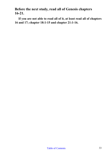**Before the next study, read all of Genesis chapters 16-21.**

**If you are not able to read all of it, at least read all of chapters 16 and 17; chapter 18:1-15 and chapter 21:1-16.**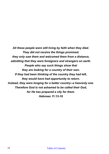*All these people were still living by faith when they died. They did not receive the things promised; they only saw them and welcomed them from a distance, admitting that they were foreigners and strangers on earth. People who say such things show that they are looking for a country of their own. If they had been thinking of the country they had left, they would have had opportunity to return. Instead, they were longing for a better country--a heavenly one. Therefore God is not ashamed to be called their God, for He has prepared a city for them. Hebrews 11:13-16*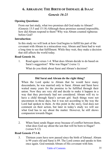## <span id="page-34-0"></span>**6. ABRAHAM: THE BIRTH OF ISHMAEL & ISAAC**

## *Genesis 16-21*

#### **Opening Questions:**

From our last study, what two promises did God make to Abram? (Genesis 15:5 and 15:18) Although these promises seemed impossible, how did Abram respond to them? Why was Abram counted righteous before God?

#### **Introduction:**

In this study we will look at how God begins to fulfill his part of the covenant with Abram in a miraculous way. Abram and Sarai had to wait a long time to see that fulfillment. While they wait, they make a decision that still affects the world today.

#### **Read Genesis 16.**

1. Read again verses 1-4. What does Abram decide to do based on Sarai's suggestion? Who was Hagar? (verse 1)

What do you think about Sarai and Abram's decision?

#### **Did Sarai and Abram do the right thing?**

When the Lord spoke to Abram that he would have many descendants, he was married only to Sarai. Abram and Sarai have waited many years for the promise to be fulfilled through their union. Now they are very old and decide to make it happen in a way that they previously had not considered. Abram will try to have a child through Sarai's servant girl. Such things were not uncommon in those days, but it was not according to the way the Lord had spoken to them. At this point in the story, God does not comment on their action, but later in today's study we will see what God has to say about the matter. However, he still shows compassion towards Hagar.

2. When Sarai sends Hagar away because of conflict between them, what does God say about the son that will be born to Hagar? (verses 9-12)

#### **Read Genesis 17:1-8.**

3. Thirteen years have now passed since the birth of Ishmael. Abram is 99 years old and Sarai is 89. The Lord comes and speaks to him once again. God reminds Abram of His covenant with him.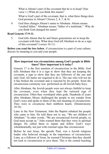What is Abram's part of the covenant that he is to keep? (See verse 1.) What do you think this means?

What is God's part of the covenant, that is, what three things does God promise to Abram? (Verses 2, 4, 7, & 8)

4. God then changes Abram's name to Abraham. Abram means "exalted father." Abraham means "father of a multitude." Why do you think God changed his name?

#### **Read Genesis 17:9-11.**

5. God tells Abram that he and future generations are to keep the covenant with him. What does God tell Abraham to do as a sign of this covenant? (verses 10-11)

**Before you read the box below**, if circumcision is a part of your culture, discuss its meaning to you and your people.

#### **How important was circumcision among God's people in Bible times? How important is it today?**

Genesis 17 is the first mention of circumcision in the Bible. God tells Abraham that it is a sign to show that they are keeping the covenant, a sign to show that they are followers of the one and only God. All males are required to do it. The one who will not do it has broken the covenant and is rejected by his people. Soon the circumcision ceremony was performed on all Jewish baby boys.

After Abraham, the Jewish people were not always faithful to keep the covenant, even when they kept the outward sign of circumcision. Often they worshiped other gods. Hundreds of years after Abraham, Moses challenged the people to not wander from God's ways and spoke to them of the real meaning of circumcision. They were to circumcise their stubborn hearts. (Deuteronomy 10:16)

Later in the New Testament, John the Baptist rebuked the people who came to him. He told them not to say, "We are children of Abraham." In other words, "We are circumcised Jewish people, so God must accept us." John warned them that they were in spiritual danger. He called them to repent and follow God's ways wholeheartedly, not just with external signs like circumcision.

Before he met Jesus, the apostle Paul, was a Jewish religious leader who believed strongly in the importance of circumcision. Later, as a follower of Jesus, he warned Christians that they should not look to circumcision to save them. This is the central teaching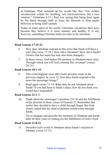in Galatians. Paul summed up his words like this: "For neither circumcision counts for anything, nor uncircumcision, but a new creation." (Galatians 6:15.) Paul was saying that being born again by the Spirit through faith in Jesus the Messiah is what marks believers as being God's people.

Today in some parts of the world, Christians circumcise their boys because they believe it is more sanitary and healthy. It is not, however, something Christian believers trust in for salvation.

### **Read Genesis 17:15-22.**

- 6. How does Abraham respond to this news that Sarah will have a son? (See verse 17-18.) How old is Abraham? How old is Sarah? (Notice that her name has now also been changed.)
- 7. In these verses, God makes His promise to Abraham more clear. Through which son will God continue His covenant? (verses 20-21)

### **Read Genesis 18:1-15.**

- 8. This event happens soon after God's promise made in the previous chapter. In verse 12, how does Sarah respond to the news the messenger brings?
- 9. Read again verses 13-14. What does he ask Abraham about Sarah? If you had been in Sarah's place, how do you think you would have responded?

#### **Read Genesis 21:1-7.**

10. Think about the messenger's question (18:14) and the fulfillment of the promise in these verses of Genesis 21. Remember that earlier they decided to have a child through Hagar. But God clearly stated that the child of promise would come through Sarah.

Try to imagine and describe the emotions of Abraham and Sarah after all their years of waiting for the fulfillment of God's word.

#### **Read Genesis 21:8-21.**

11. Describe God's word to Abraham about Sarah's reaction to Ishmael. (verse 12-13)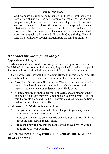## **Ishmael and Isaac**

God promises blessing to both Ishmael and Isaac—both sons will become great nations. Ishmael became the father of the Arabic people. Isaac, however, is the special son of promise. From him will come the nation of Israel that God will have a special covenant relationship with. God will reveal Himself to Israel and they, in turn, are to be a testimony to all nations of the relationship God wants to have with all mankind. Finally, in God's timing, He will send the promised Redeemer through Isaac the child of promise.

# *What does this mean for us today?*

## **Application and Prayer**

Abraham and Sarah waited for many years for the promise of a child to be fulfilled. At one point in their waiting, they decided to make it happen in their own wisdom and in their own way with Hagar, Sarah's servant girl.

God shows them several things about Himself in this story. And He teaches these things to us again and again throughout the scriptures.

- First, God always keeps His promises. There is always a purpose for the way He does things and the time in which He chooses to do them, though we may not understand what He is doing.
- Second, nothing is impossible for Him. Sarah and Abraham thought that being old meant they would not be able to have a child. But God said He would do it, and He did it! Nevertheless, Abraham and Sarah had to wait on God and trust Him.

## **Read Proverbs 3:5-6 through several times.**

- 1) Do you sometimes try to make things happen in your way when you know you must learn to wait on God?
- 2) How can you learn to do things His way and trust that He will bring about the right results in His timing?
- 3) Take time now to pray that the truths of the above proverb would be fulfilled in your own life.

## **Before the next study, read all of Genesis 18:16-31 and all of chapter 19.**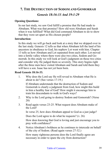## **7. THE DESTRUCTION OF SODOM AND GOMORRAH** *Genesis 18:16-33 And 19:1-29*

### **Opening Questions:**

In our last study, we saw God fulfill a promise that He had made to Abraham. What was that promise? How old were Abraham and Sarah when it was fulfilled? What did God command Abraham to do to show that they were set apart as His chosen people?

### **Introduction:**

In this study we will go back and look at a story that we skipped over in the last study. Genesis 12 tells us that when Abraham left the land of his ancestors in obedience to God, his nephew Lot went with him. Chapter 13 tells us how Abraham and Lot separated from each other. Lot moved into a fertile valley where there were also two cities, Sodom and Gomorrah. In this study we will look at God's judgment on those two cities and consider why He judged them so severely. This story begins right after the three men have visited Abraham and Sarah and told them they will have a son. Isaac has not yet been born.

#### **Read Genesis 18:16-33.**

1. Why does the Lord say He will reveal to Abraham what He is about to do? (See verses 17-19.)

If Abraham understands that the destruction of Sodom and Gomorrah is clearly a judgment from God, how might this build in him a healthy fear of God? How might it encourage him to train his descendants to walk in God's ways?

- 2. Why is the Lord going to destroy Sodom and Gomorrah? (Verse 20)
- 3. Read again verses 23-25. What request does Abraham make of the Lord?

In verse 25, how does Abraham appeal to God as a just judge?

Does the Lord agree to do what he requests? (v. 26)

How does knowing that God is loving and just encourage you to pray with confidence?

4. Notice Abraham's boldness as he continues to intercede on behalf of the city of Sodom. (Read again verses 27-32.)

How many righteous persons does the Lord finally agree are necessary in order to spare the city from destruction?

#### Table of Contents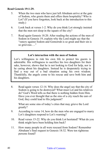#### **Read Genesis 19:1-29.**

- 5. When the two men who have just left Abraham arrive at the gate of Sodom, who greets them and offers them hospitality? Who is Lot? (If you have forgotten, look back at the introduction to this study.)
- 6. Look back at verses 1-2. Why do you think Lot strongly insisted that the men not sleep in the square of the city?
- 7. Read again Genesis 18:20. After reading the actions of the men of Sodom in Genesis 19, explain why the Lord might say that the "outcry against Sodom and Gomorrah is so great and their sin is so grievous...."

#### **Lot's interaction with the men of Sodom**

Lot's willingness to risk his own life to protect his guests is admirable. His willingness to sacrifice his two daughters for their sake, however, shows that he is not looking to God for help, nor is he caring about his daughters. Instead he is desperately trying to find a way out of a bad situation using his own wisdom. Thankfully, the angels come to his rescue and save both him and his daughters.

8. Read again verses 12-14. Why does the angel say that the city of Sodom is going to be destroyed? What must Lot and his relatives do? God's Word tells us that there is nothing hidden from Him. Have you ever thought that as the sins of a city reach the ears of God, they could lead to His judgment?

What are some sins of today's cities that may grieve the Lord greatly?

- 9. According to verse 14, how do the men who are engaged to marry Lot's daughters respond to Lot's warning?
- 10. Read verses 15-22. Why do you think Lot hesitated? What do you think might have been holding him back?
- 11. How many people in all were rescued from Sodom? Remember Abraham's final request in Genesis 18:32. Were ten righteous persons found?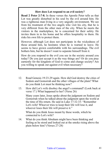## **How does Lot respond to an evil society?**

**Read 2 Peter 2:7-8.** In these verses the Apostle Peter tells us that Lot was greatly disturbed in his soul by the evil around him. He was a righteous man living in a very ungodly environment. We see from his treatment of the two angels who visit his city, that he is very different from the other men of the city. When he meets the visitors in the marketplace, he is concerned for their safety. He invites them in to his home and he offers hospitality to them. He risks his own life to protect them.

However, although Lot does not participate in the wickedness of those around him, he hesitates when he is warned to leave. He seems to have grown comfortable with his surroundings. The evil bothers him, but he doesn't want to separate himself from it.

How do you respond to the evil you see in the society around you today? Do you just accept it as the way things are? Or do you pray earnestly for the kingdom of God to come and change society? Are you willing to speak out against evil when necessary?

- 12. Read Genesis 19:23-29 again. How did God destroy the cities of Sodom and Gomorrah and the other villages of the plain? What do you think Lot must be thinking now?
- 13. How did Lot's wife disobey the angel's command? (Look back at verse 17.) What happened to her? (Verse 26)

Many years later, Jesus spoke about the judgment on Sodom and Gomorrah when he talked about the judgment upon the world at the time of His return. He said in Luke 17:32-33: "Remember Lot's wife! Whoever tries to keep their life will lose it, and whoever loses their life will preserve it."

What do you think Jesus meant by these words, which he connected to Lot's wife?

14. What do you think Abraham might have been thinking and feeling as he stood and looked out at the smoke rising above the plain below him? (Verses 27-28)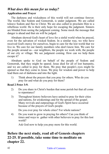## *What does this mean for us today?*  **Application and Prayer**

The darkness and wickedness of this world will not continue forever. The world, like Sodom and Gomorrah, is under judgment. We are called toleave Sodom and flee to Christ. We are also called to proclaim Him to a rebellious world. He is their only hope for escaping the judgment. Sinners are blinded from seeing the judgment coming. Some mock the message that danger is ahead and that sin will be judged.

Abraham showed God's heart of love for a sinful world when he prayed, even for the salvation of wicked Sodom. In a similar way, we who have received God's mercy for ourselves, begin to care for the lost world that we live in. We care for our family members who don't know him. We care for the people around us—our neighbors, the people we work with, the people of our city or village. We see judgment coming. How can we help them escape it?

Abraham spoke to God on behalf of the people of Sodom and Gomorrah, that they might be spared. Jesus died for all of lost humanity, and we are called to pray for them. We pray that people's eyes might be opened so that they come to Jesus. We pray for wisdom and power to help lead them out of darkness and into the light.

1) Think about the prayers that you pray for others. Who do you pray for and what do you pray for them?

#### **Read 2 Peter 3:9.**

- 2) Do you share in Christ's burden that none perish but that all come to repentance?
- 3) Throughout history believers have united to pray for their cities and nations, for awakenings and for the spread of the gospel. Many revivals and outpourings of God's Spirit have occurred because of the prayers of God's people.

Do you ever pray for whole cities? For whole nations?

4) Do you want to grow in praying for others? Can you think of times and ways to gather with other believers to pray for this lost world?

Ask God now to help you pray more for this world.

## **Before the next study, read all of Genesis chapters 22-25. If possible, take some time to meditate on chapter 22.**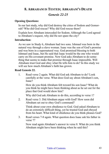## **8. ABRAHAM IS TESTED; ABRAHAM'S DEATH**

## *Genesis 22-25*

### **Opening Questions:**

In our last study, why did God destroy the cities of Sodom and Gomorrah? Who did God rescue? Why did God rescue them?

Explain how Abraham interceded for Sodom. Although the Lord agreed to Abraham's request, why did He not spare the city?

#### **Introduction:**

As we saw in Study 6, Abraham had two sons. Ishmael was born in the natural way through a slave woman. Isaac was the son of God's promise and was born in a supernatural way. God promised blessing to both Ishmael and Isaac, but He said that Isaac would be the one who would carry on His covenant promise. Now God asks Abraham to do something that seems to make that promise through Isaac impossible. Will Abraham trust God and obey what He tells him to do? In this study we will see how much Abraham's faith has grown.

#### **Read Genesis 22.**

1. Read verse 2 again. What did God ask Abraham to do? Look carefully at the verse. What does God say about Abraham's son, Isaac?

How do you think Abraham felt toward his son Isaac? What do you think he might have been thinking about as he set out for the place that God would show him?

Why did God ask Abraham to do this, according to verse 1?

2. Read verse 3. Did Abraham argue with God? How soon did Abraham set out to obey God's command?

Think about your own obedience to God. God asked Abraham to do an extremely difficult thing, yet he trusted God and obeyed from his heart. What kind of obedience do you think pleases God?

3. Read verses 7-8 again. What question does Isaac ask his father in verse 7?

Now read again Abraham's answer in verse 8. What do you think Abraham might have been thinking when he said this?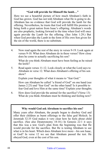## **"God will provide for Himself the lamb…"**

Here we see a beautiful picture of how much Abraham's faith in God has grown. God has not told Abraham what He is going to do. Abraham has no evidence that God will provide the lamb for the offering. Nevertheless, he trusts that God will fulfill His promise to bring forth a great nation from Isaac's offspring. Abraham's words are also prophetic, looking forward to the time when God will once again provide the Lamb for the offering. (See John 1:29.) But when God provides the Lamb in the form of His own Son given for the sin of the world, there is no substitute.

4. Now read again the rest of the story in verses 9-19. Look again at verses 9-10. What does Abraham do in these verses? How close does he come to actually sacrificing his son?

What do you think Abraham must have been feeling as he raised the knife?

5. Read again verses 11-12. Look closely at what the Lord says to Abraham in verse 12. What does Abraham's offering of his son show?

Explain your thoughts of what it means to "fear God."

How can Abraham be called "a friend of God" on one hand (see James 2:23) and "fear God" on the other hand? Is it possible to fear God and love Him at the same time? Explain your thoughts.

6. How does God provide the animal for the sacrifice? (Verse 13) What do you think Abraham must be thinking and feeling now?

## **Why would God ask Abraham to sacrifice his son?**

Many years after Abraham, the people began to disobey God and offer their children as burnt offerings to the false god Molech. In Jeremiah 32:35 God makes it very clear how he feels about child sacrifice. (See also Deuteronomy 18:10.) In Genesis 22:1 it says that this was a test. God's plan from the beginning was that He would provide for the sacrifice. But He is testing Abraham to see what is in his heart. Which does Abraham love more—his son Isaac, or God? In verse 12 we see that Abraham passed the test. He obeyed God, even at the cost of his son.

#### Table of Contents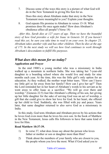7. Discuss some of the ways this story is a picture of what God will do in the New Testament in giving His Son for us.

Does this story about Abraham make that story in the New Testament more meaningful to you? Explain your thoughts.

8. God repeats His promise to Abraham in verses 15-18. What promises does He once again make? How does Abraham's obedience affect all people? (Verse 18)

*.After this, Sarah dies at 127 years of age. Then we have the beautiful story of how God provides a wife for Isaac in Genesis 24. If you haven't read this yet, be sure you take time to read it on your own. In chapter 25, Abraham takes another wife and has other children. Then he dies at the age of 175. In the next study we will see how God continues to work through Abraham's descendants to fulfill His purposes.*

## *What does this mean for us today?*  **Application and Prayer**

In the mid 1900's a young mother who was a missionary in India walked up a mountain in northern India. She was taking her 7-year-old daughter to a boarding school where she would live and study for nine months each year. At the time, this was the little girl's only option for an education. As they walked, the mother wept bitter tears. "How can I leave my little girl so far away from her family? How can I give her up?" Then the Lord reminded her in her heart of Abraham's words to his servant as he went away to offer Isaac as a sacrifice: "We will go over there and worship." (Genesis 22:5) Just like Abraham's offering of his son, her giving up her little daughter for the sake of serving God was an act of worship, a gift that she could give to show her love for God. In her heart, she offered up her child to God. Suddenly, she was filled with joy and peace. Years later, that same daughter returned to also serve God as a missionary in India.

In this study, God tests Abraham and Abraham proves by his actions that he loves God even more than he loves his own son. In the book of Matthew in the New Testament, Jesus calls His followers to have that same kind of love for Him.

#### **Read Matthew 10:37-39.**

- 1) In verse 37, what does Jesus say about the person who loves father or mother or son or daughter more than Him?
- 2) Think about the members of your family who are closest to you, the people whom you love the most. What if God asked you to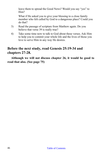leave them to spread the Good News? Would you say "yes" to Him?

What if He asked you to give your blessing to a close family member who felt called by God to a dangerous place? Could you do that?

- 3) Read the passage of scripture from Matthew again. Do you believe that verse 39 is really true?
- 4) Take some time now to talk to God about these verses. Ask Him to help you to commit your whole life and the lives of those you love to serve Him in any way He desires.

## **Before the next study, read Genesis 25:19-34 and chapters 27-28.**

**Although we will not discuss chapter 26, it would be good to read that also. (See page 75)**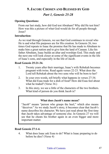## **9. JACOB: CHOSEN AND BLESSED BY GOD**

## *Part 1, Genesis 25-28*

### **Opening Questions:**

From our last study, how did God test Abraham? Why did He test him? How was this a picture of what God would do for all people through Jesus?

#### **Introduction:**

As we read through Genesis, we see that God continues to reveal who He is and what His purposes are for His creation. In Genesis 26, two times God repeats to Isaac the promise that He has made to Abraham to make him a great nation and to give him the land of Canaan. Like his father Abraham, Isaac builds an altar and worships God. This study and the next one will look closer at some of the significant events in the life of Isaac's sons, and especially in the life of Jacob.

#### **Read Genesis 25:21-34.**

- 1. Twenty years after their marriage, Isaac's wife Rebekah becomes pregnant with twins. Read again verses 22-23. What does the Lord tell Rebekah about the two sons who will be born to her?
- 2. In your own words, tell briefly what happens in verses 27-34. What did Esau trade for a dish of food? How did Esau feel about what he traded? (Verse 34.)
- 3. In this story, we see a little of the characters of the two brothers. What kind of person do you think Jacob is?

#### **What does Jacob's name mean?**

"Jacob" means "person who grasps the heel," which also means "deceiver." As we study Jacob's story, it becomes clear that Jacob's name describes his character. We have just read about the first time that Jacob takes advantage of someone else. In Genesis 27 we will see that he cheats his brother again in an even bigger and more important matter.

#### **Read Genesis 27:1-4.**

4. What does Isaac ask Esau to do? What is Isaac preparing to do before he dies? (Verse 4)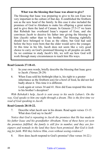#### **What was the blessing that Isaac was about to give?**

The blessing that Isaac was preparing to give to his son Esau was very important in the culture of that day. It established the firstborn son as the new head of the family. In this case it also included the promises of God to Abraham to make his offspring a great nation and to give them the land of Canaan. In Genesis 27:5-17 we learn that Rebekah has overheard Isaac's request of Esau, and she convinces Jacob to deceive his father into giving the blessing to him (Jacob) rather than to his brother. The blessing rightfully should have belonged to Esau as the oldest, but God had said before the boys were born that the older would serve the younger. At this time in his life, Jacob does not seem like a very good choice to carry on God's promised blessing to all peoples on earth. As we continue to study Jacob's life, we will see how God will work through many circumstances to teach him His ways.

### **Read Genesis 27:18-41.**

- 5. In your own words, briefly describe the blessing that Isaac gave to Jacob. (Verses 28-29)
- 6. When Esau sold his birthright (that is, his right to a greater inheritance as the firstborn son) for a bowl of food, he did not feel badly about it. This time it is different.

Look again at verses 34 and 41. How did Esau respond this time to his brother's deception?

*With Rebekah's help, Jacob is sent away to his uncle Laban's. On the way, God speaks to him one night through a dream. This is the first time we read of God speaking to Jacob.*

## **Read Genesis 28:10-22.**

7. Describe what Jacob saw in his dream. Read again verses 13-15. What does God say to Jacob?

*Notice that God is repeating to Jacob the promises that He has made to his father Isaac and his grandfather Abraham. None of these have yet seen the promises fulfilled; the family is still few in number, and they are foreigners and nomads in the land they have been promised. But God is looking for faith. Will they believe Him, even without seeing evidence?*

8. How does Jacob respond to God's promise? (See verses 16-22.)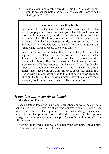9. Why do you think Jacob is afraid? (Verse 17) What does Jacob want to see happen before he personally makes the Lord to be his God? (verse 20-21).

#### **God reveals Himself to Jacob**

Let's remember that in the land of Canaan where Jacob lives, the people are pagan worshipers of false gods. Jacob himself does not know the Lord, except by the stories he has heard from his father and grandfather. The Lord spoke a number of times to Abraham and Isaac. Now the Lord chooses a critical moment in Jacob's life to appear to him. He has left his father's home and is going to a strange land. His is probably filled with anxiety.

Jacob thinks he is alone, but in the darkness of night, he sees the angels of God and the Lord speaks to him from heaven. In the dream, Jacob is confronted with the fact that God is real, and that He is with Jacob. The Lord speaks to Jacob the same great promises that He has made to Abraham and Isaac. But Jacob's response is conditional. He says that if the Lord will do certain things, then Jacob will call Him his God. Jacob recognizes that God is with him and has spoken to him, but he is not yet ready to fully put his trust in the God of his fathers. It will take many years and many trials before he is ready to fully submit to God.

## *What does this mean for us today?*  **Application and Prayer**

Jacob's father Isaac and his grandfather Abraham were men of faith. Genesis 15:6 tells us that Abraham was counted righteous before God because he believed God's promises to him, even though many years passed before the promises were fulfilled. This was Jacob's spiritual heritage. Jacob, however, wants to see proof of God's faithfulness before he fully believes.

As you read the verses below, think about your own faith. Are you more like Abraham, or are you more like Jacob?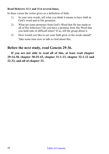## **Read Hebrews 11:1 and 11:6 several times.**

In these verses the writer gives us a definition of faith.

- 1) In your own words, tell what you think it means to have faith in God's word and in His promises.
- 2) What are some promises from God's Word that He has made to all of His followers? Do you have a promise from His Word that you hold onto in difficult times? If so, tell the group about it.
- 3) How would you like to see your faith grow in the weeks ahead? Take some time now to talk to God about this.

## **Before the next study, read Genesis 29-36.**

**If you are not able to read all of this, at least read chapter 29:14-30, chapter 30:25-43, chapter 31:1-13, chapter 32:1-12 and 22-32, and all of chapter 33.**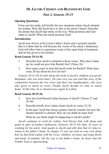## **10. JACOB: CHOSEN AND BLESSED BY GOD**

## *Part 2, Genesis 29-35*

### **Opening Questions:**

From our last study, tell briefly the two situations where Jacob cheated his brother. Why did Jacob have to flee to his uncle's home? Describe the dream that Jacob had while on the way. What promises did God make to Jacob? What did Jacob promise God?

#### **Introduction:**

Jacob now arrives at his Uncle Laban's home and is greeted warmly. But it is there that he will become the victim of his uncle's dishonesty. God will allow him to experience some of the same kind of treatment that he has given to his brother.

#### **Read Genesis 29:14-30.**

- 1. Describe how Jacob is cheated in these verses. Why does Laban say he could not give him Rachel first? (Verse 26)
- 2. How many years in total did Jacob work for Rachel? What does verse 20 say about his love for her?

*Genesis 29:31-30:34 tells about the birth of Jacob's children (except for Benjamin, who was born later). On your own you can read this story of the competition between the two wives and their two handmaidens, who were also given to Jacob as wives. Finally Jacob decides it's time to return home. At this time, he is cheated once again by Laban.*

#### **Read Genesis 30:25-36.**

- 3. How has God blessed Laban because of Jacob? (Verses 27 and 29-30)
- 4. Describe briefly how Laban cheats Jacob in verses 32-36.
- 5. In the past, Jacob has always gotten what he wanted, but now the cheater himself is cheated. How do you think he must feel?

What do you think might be happening to Jacob's pride?

*Jacob continues to work for Laban. God blesses him with sheep and goats in spite of Laban's dishonesty. (Genesis 30:37-43) After 20 years of working for his uncle, God speaks to Jacob and tells him that it's time to return to his father's home. In chapter 31 you can read on your own about how he fled from Laban with his wives, children, servants, and large flocks and herds of animals. On the way to his father's home, he hears that his brother Esau is approaching.*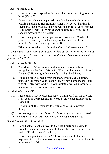## **Read Genesis 32:3-12.**

- 6. How does Jacob respond to the news that Esau is coming to meet him? (Verse 7)
- 7. Twenty years have now passed since Jacob stole his brother's blessing and had to flee from his father's house. At that time it seems that Jacob was the one who was in control over his brother. Read again verses 4-5. What change in attitude do you see in Jacob's message to his brother?
- 8. Now read again Jacob's prayer to God. (Verses 9-12) What do you see in this prayer that shows you that Jacob has been humbled? (Look especially at verse 10.)

What promises does Jacob remind God of? (Verses 9 and 12)

*Jacob sends numerous gifts ahead of him to his brother. As he waits nervously for them to meet, during the night, Jacob has a very unusual experience with God.*

## **Read Genesis 32:22-32.**

- 9. Describe Jacob's encounter with the man, whom he later recognizes as the Lord. (Verse 30) What did the man do to Jacob? (Verse 25) How might this have further humbled Jacob?
- 10. What did Jacob demand from the man? (Verse 26) What new name did the man give to Jacob? Jacob's new name means, "one who struggles with God." Do you think this was an appropriate name for Jacob? Explain your answer.

## **Read all of Genesis 33.**

11. Jacob knows that he does not deserve kindness from his brother. How does he approach Esau? (Verse 3) How does Esau respond? (Verse 4)

Do you think that Esau has forgiven Jacob? Explain your thoughts.

*After his meeting with Esau, God tells Jacob to go and camp at Bethel, the place where he had his first vision of God twenty years before.*

## **Read Genesis 35:1-3 and 6-15.**

12. Look back at Jacob's prayer to God the first time he came to Bethel when he was on his way to his uncle's home twenty years earlier. (Read Genesis 28:20-22.)

Now read again Genesis 35:3. Think back over all that has happened to Jacob in the past twenty years. How has God kept his promise to Jacob?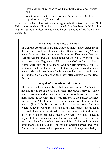How does Jacob respond to God's faithfulness to him? (Verses 3 and 6-7)

13. What promise that He made to Jacob's fathers does God now repeat to Jacob? (Verses 11-12)

Notice that Jacob has just recently begun to build altars to worship God. This is another sign of how he has changed. God has been faithful to him and now, as he promised twenty years before, the God of his fathers is his God also.

#### **What was the purpose of an altar?**

In Genesis, Abraham, Isaac and Jacob all made altars. After them, the Israelites continued to make altars. But what were they? Altars were platforms often made of earth or stone. They made them for various reasons, but the foundational reason was to worship God and show their allegiance to Him as their God, and not to idols. Altars were also built to thank God for His promises, for His protection and for His provision. On the altar, sacrifices of animals were made (and often burned) with the smoke rising to God. Later in Exodus, God commanded that they offer animals as sacrifices for sin.

#### **Why don't Christians build altars?**

The writer of Hebrews tells us that "we have an altar" – but it is not like the altars of the Old Covenant. (Hebrews 13:10-15) Their animals were imperfect sacrifices. On the cross, however, God, not man, made the sacrifice. He offered His Son as the perfect sacrifice for us. He is "the Lamb of God who takes away the sin of the world." (John 1:29) It is always at this altar – the cross of Jesus – where believers worship. It is not a physical place, but rather a spiritual place in our hearts where we remember what God did for us. Our worship can take place anywhere—we don't need a physical altar or a special mountain or city. Wherever we are can be a holy place for worship. (See John 4:19-24). Through Jesus we offer thanks and praise to God for His amazing grace and love. And it is at the cross that we give our lives to Him again each day.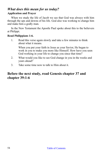# *What does this mean for us today?*

### **Application and Prayer**

When we study the life of Jacob we see that God was always with him through the ups and downs of his life. God also was working to change him and make him a godly man.

In the New Testament the Apostle Paul spoke about this to the believers at Philippi.

### **Read Philippians 1:6.**

1. Read this verse again slowly and take a few minutes to think about what it means.

When you put your faith in Jesus as your Savior, He began to work in you to make you more like Himself. How have you seen God working in your life to change you since that time?

- 2. What would you like to see God change in you in the weeks and years ahead?
- 3. Take some time now to talk to Him about it.

## **Before the next study, read Genesis chapter 37 and chapter 39:1-6**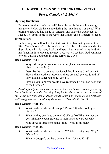# **11. JOSEPH: A MAN OF FAITH AND FORGIVENESS**

## *Part 1, Genesis 37 & 39:1-6*

## **Opening Questions:**

From our previous study, why did Jacob leave his father's home to go to his uncle's? How did he change during the time that he was away? What promises that God had made to Abraham and Isaac did God repeat to Jacob? Tell about some of the ways that God revealed Himself to Jacob.

## **Introduction:**

In this study we will look at the first part of the fascinating story of the life of Joseph, one of Jacob's twelve sons. Jacob and his wives and children, along with his many flocks and herds, has returned to the land of his father. In this study and the next two, we will see how God continues to work out His good plan in some surprising ways.

### **Read Genesis 37:1-11.**

- 1. Why did Joseph's brothers hate him? (There are two reasons given in verses 2-4.)
- 2. Describe the two dreams that Joseph had in verse 6 and verse 9. How did his brothers respond to these dreams? (verses 8, and 11) How did his father respond? (verse 10)

How do you think you would have responded if you had been one of the brothers?

*Jacob's family are nomads who live in tents and move around, pasturing large flocks of animals. One day Joseph's brothers are out taking care of the flocks far from home. Jacob sends Joseph to check on the brothers' well-being and the condition of the animals. (Genesis 37:12-17)*

## **Read Genesis 37:18-24.**

- 3. What do the brothers call Joseph? (Verse 19) Why do they call him that?
- 4. What do they decide to do to him? (Verse 20) What feelings do you think have been growing in their hearts toward Joseph?

Who saves Joseph from being killed? What is his plan?

## **Read Genesis 37:25-36.**

5. What do the brothers see in verse 25? Where is it going? Why? (Verse 25)

What do Joseph's brothers do with him? (Verses 27-28)

#### Table of Contents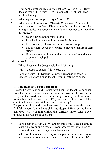How do the brothers deceive their father? (Verses 31-33) How does he respond? (Verses 34-35) Imagine the grief that Jacob must be feeling.

- 6. What happens to Joseph in Egypt? (Verse 36)
- 7. When we read the events of Genesis 37, we see a family with many relational problems. Discuss in each point below how the wrong attitudes and actions of each family member contributed to this tragedy.
	- Jacob's favoritism toward Joseph
	- Joseph's immature actions toward his brothers
	- The brothers' jealousy and hatred toward Joseph
	- The brothers' deceptive scheme to hide their sin from their father
	- How do similar attitudes and actions in families today destroy relationships?

## **Read Genesis 39:1-6.**

8. Whose household is Joseph sold into? (Verse 1)

Why is Joseph so successful? (Verses 2-3)

Look at verses 3-6. Discuss Potiphar's response to Joseph's success. What position is Joseph given in Potiphar's house?

## **Let's think about Joseph's situation.**

Discuss briefly how hard it must have been for Joseph to be taken from his father's house where he was the favorite, thrown into a well, and then sold as a slave in a foreign country far from home. Remember that he was only 17 years old at this time. What emotional pain do you think he was experiencing?

Do you think it would have been easy for him to serve his master faithfully every day and not sink into despair? How do we know that God was with him during this difficult time? Take a few minutes to discuss these questions.

9. Look again at verses 2-6. We are not told about Joseph's attitude toward his work or his master. From these verses, what kind of servant do you think Joseph must have been?

When we find ourselves in unjust and painful situations, why is it important that we continue to serve God and others faithfully?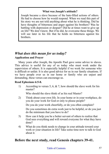## **What was Joseph's attitude?**

Joseph became a slave because of the hate-filled actions of others. He had to choose how he would respond. When we read this part of his story we are not told anything about what he is thinking. Did he have thoughts of bitterness and anger against his brothers? Was he battling with depression or despair? Did he at times want to give up on life? We don't know. But if he did, he overcame these things. We will see later in his life that he holds no bitterness against his **brothers** 

## *What does this mean for us today?*  **Application and Prayer**

Many years after Joseph, the Apostle Paul gave some advice to slaves. This advice is useful for any of us today who must work under the supervision of others. It is especially helpful if we work for someone who is difficult or unfair. It is also good advice for us in our family situations. If we have people over us in our home or family who are unjust and demanding, these verses can encourage us.

## **Read Ephesians 6:5-8.**

1) According to verses 5, 6, & 7, how should the slave work for his master?

Who should the slave think of as his real Master?

2) Think about your own life. In your home or in your workplace, do you do your work for God or only to please people?

Do you do your work cheerfully, or do you often complain?

Do you sometimes do extra work just to be helpful, or do you just do the minimum that you have to do?

- 3) How can it help you be a better servant of others to realize that God sees everything and will reward everyone for what they have done?
- 4) What do you think needs to change in your attitude toward your work or your situation in life? Take some time now to talk to God about it.

## **Before the next study, read Genesis chapters 39-41.**

## Table of Contents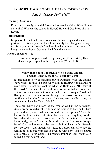## **12. JOSEPH: A MAN OF FAITH AND FORGIVENESS**

## *Part 2, Genesis 39:7-41:57*

#### **Opening Questions:**

From our last study, why did Joseph's brothers hate him? What did they do to him? Who was he sold to in Egypt? How did God bless him in Egypt?

#### **Introduction:**

In spite of the fact that Joseph is a slave, he has a high and respected position. In this study we will see how quickly that changes in a way that is very unjust to Joseph. Yet Joseph will continue to be a man of integrity and to honor God with his life and his work.

#### **Read Genesis 39:7-23**

1. How does Potiphar's wife tempt Joseph? (Verses 7&10) How does Joseph respond to the temptation? (Verses 8-9)

#### **"How then could I do such a wicked thing and sin against God?" (Joseph to Potiphar's wife)**

Joseph thought he was speaking only to Potiphar's wife. He did not know when he said this that we would be reading it thousands of years later. His actions teach us what the Bible calls **"the fear of the Lord."** The fear of the Lord does not mean that we are afraid of God so that we cannot come near to Him. Through Christ and His great love shown to us through the cross, we can come confidently into God's presence. However, even as Christians, we are never to lose the "fear of God."

There are many definitions of the fear of God in the scriptures. One is from Proverbs 8:13: "To fear the Lord is to hate evil. I hate pride and arrogance, evil behavior and perverse speech." Also, the fear of the Lord is the realization that God sees everything we do. We realize that we must answer to Him for our actions, and most importantly, we don't want to bring dishonor to His name. Joseph feared God and rejected pleasure with Potiphar's wife. Genesis 39:9-10 says, "And though she spoke to Joseph day after day, he refused to go to bed with her or even be with her." This of course was a refusal to sin against his master, Potiphar. But Joseph also called it a "sin against God."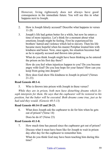However, living righteously does not always have good consequences in the immediate future. You will see this in what happens next to Joseph.

- 2. How is Joseph falsely accused? Describe what happens in verses 11-20.
- 3. Joseph's life had gotten better for a while, but now he enters a time of more injustice. Let's think for a moment about what emotions Joseph might be feeling. First he experienced his brothers' hatred and violence which led to slavery. Then his life became more hopeful when his master Potiphar treated him with kindness and honor. Now, once again, his situation becomes bad as he is unjustly accused and thrown into prison.

What do you think Joseph might have been thinking as he entered the prison on his first day there?

How do you feel when injustices happen to you? Do you become angry with God? Do you lose hope for your future? How can you keep from going into despair?

4. How does God show His kindness to Joseph in prison? (Verses 21-23)

## **Read Genesis 40:1-4.**

5. Who is thrown into prison with Joseph in these verses?

*While they are in prison, both men have disturbing dreams which Joseph interprets for them. He says that the cupbearer will be restored to his position, but the baker will be executed. Both dreams come true, just as he had said they would. (Genesis 40:5-13)*

## **Read Genesis 40:14-15 and 20-23.**

6. What does Joseph ask the cupbearer to do for him when he gets out of prison? (Verse 14)

Does he do it? (Verse 23)

## **Read Genesis 41:1-8.**

7. How much time has passed since the cupbearer got out of prison? Discuss what it must have been like for Joseph to wait in prison

day after day for the cupbearer to remember him.

What do you think God may have been teaching him during this time?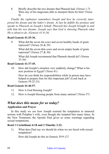8. Briefly describe the two dreams that Pharaoh had. (Verses 1-7) Were any of his magicians able to interpret them for him? (Verse 8)

*Finally the cupbearer remembers Joseph and how he correctly interpreted his dream and the baker's dream. At last he fulfills his promise and speaks to Pharaoh on Joseph's behalf. Pharaoh has Joseph brought in and tells him his two dreams. Joseph says that God is showing Pharaoh what He is about to do. (Genesis 41:9-24)*

### **Read Genesis 41:25-36.**

9. What did the seven fat cows and seven healthy heads of grain represent? (Verses 26 & 29)

What did the seven thin cows and seven empty heads of grain represent? (Verses 27 & 30)

What did Joseph recommend that Pharaoh should do? (Verses 33-36)

## **Read Genesis 41:37-45.**

10. How did Joseph's situation very suddenly change? What is his new position in Egypt? (Verse 41)

How do you think his responsibilities while in prison may have helped to prepare him for this important job? (Look back at Genesis 39:22-23)

#### **Read Genesis 41:46-57.**

- 11. How is God blessing Joseph?
- 12. How is Joseph blessing people from many nations? (Verse 57)

## *What does this mean for us today?*

## **Application and Prayer**

In this study we see how Joseph resisted the temptation to immoral actions with Potiphar's wife, even though she tempted him many times. In the New Testament, the Apostle Paul gives us some warnings regarding sexual temptations.

## **Read 1 Corinthians 6:18 and 2 Timothy 2:22.**

1) What does Paul say we should do when we are faced with sexual temptation?

How did Joseph do this in Genesis 39:9-12?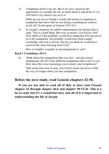2) Temptation itself is not sin. But if we give ourselves the opportunity to consider the sin, to think about it and desire it, we will find it very hard to say no to it.

What do you see in Joseph's words and actions in response to temptation that show that he was doing everything he could to avoid sin? (Look again at Genesis 39:8-10.)

3) In Joseph's situation, he suffers imprisonment for doing what is right. This is a hard thing. But even in prison, *God blesses him!*  Now think of what probably would have happened if he had given in to the temptation. He probably would have been caught eventually, and sent to prison. But do you think he would have received the same blessing from God?

How is Joseph's example an encouragement to you?

### **Read 1 Corinthians 10:13.**

4) Think about the temptations that you face—not just sexual temptations, but all of the different temptations that come to you. How does this verse encourage you to resist your temptations?

Take some time now to pray. Ask God to teach you how to find the way of escape when you face temptation.

## **Before the next study, read Genesis chapters 42-50.**

**If you are not able to read all of this, at least read Genesis chapter 42 through chapter 46:6 and chapter 50:15-26. This is a lot to read, but it's a wonderful story and all of it is important to understanding the life of Joseph.**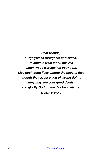*Dear friends, I urge you as foreigners and exiles, to abstain from sinful desires which wage war against your soul. Live such good lives among the pagans that, though they accuse you of wrong doing, they may see your good deeds and glorify God on the day He visits us. 1Peter 2:11-12*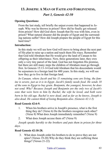# **13. JOSEPH: A MAN OF FAITH AND FORGIVENESS,**

## *Part 3, Genesis 42-50*

## **Opening Questions:**

From the last study, tell briefly the unjust events that happened to Joseph. Why was he thrown in prison? How did he finally get released from prison? How did God show Joseph that He was with him, even in prison? What natural disaster did the people of Egypt and the surrounding nations suffer? How did Joseph prepare the people of Egypt for this hard time?

### **Introduction:**

In this study we will see how God will move to bring about the next part of His plan to raise up a nation and teach them His ways. Remember that God told Abraham that He would give the land of Canaan to his offspring as their inheritance. Now, three generations later, they own only a very tiny parcel of the land. God has not forgotten His promise, but there are still many steps the children of Abraham must go through first. In Genesis 15:13-14 God told Abraham that his descendants would be sojourners in a foreign land for 400 years. In this study, we will see how they go to live in that foreign land.

*In Canaan, where Jacob and his 11 remaining sons are living, the famine is severe, just as it is in Egypt. Jacob's family needs food. He sends 10 of the sons to Egypt to buy grain. Benjamin, the youngest, however, he does not send. Why? Because Joseph and Benjamin are the only two of Jacob's sons that were born to him by Rachel, the wife he loved, and both were born in his old age. Rachel is now dead, and as far as he knows, Joseph is also dead. He cannot think of losing Benjamin also. (Genesis 42:1-5)*

## **Read Genesis 42:6-9.**

- 1. When his brothers arrive in Joseph's presence, what is the first thing they do? (Verse 6) Do the brothers recognize each other? (Verse 8) What does Joseph immediately remember? (Verse 9)
- 2. What does Joseph accuse them of? (Verse 9)

*Joseph speaks harshly to the brothers and puts them in prison for three days.*

## **Read Genesis 42:18-28.**

3. What does Joseph order his brothers to do to prove they are not spies? (Verses 19-20) Why do they think they are suffering these things? (Verses 21-22)

#### Table of Contents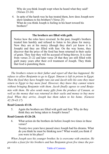Why do you think Joseph wept when he heard what they said? (Verses 23-24)

4. In spite of the harsh way he has treated them, how does Joseph now show kindness to his brothers? (Verse 25) What do you think Joseph is feeling in his heart toward his brothers?

#### **The brothers are filled with guilt.**

Notice how the roles have reversed. In the past, Joseph's brothers treated him harshly and refused to listen to his pleas for mercy. Now they are at his mercy (though they don't yet know it is Joseph) and they are filled with fear. On the way home, they discover that the price of the food has been returned in their sacks of grain. They fear they will be accused of being thieves. It is clear from verses 21-22 and later verse 28 that they are still filled with guilt many years after their evil treatment of Joseph. They think that God is punishing them.

*The brothers return to their father and report all that has happened. He refuses to allow Benjamin to go to Egypt. Simeon is left in prison in Egypt. Then the food they have bought runs out and Jacob tells his sons they must return to Egypt to buy more food. However, they know they cannot return without bringing Benjamin with them. Jacob finally agrees to send Benjamin with them. He also sends many gifts from the produce of Canaan, as well as the money that was returned in their sacks and money to buy more food. When they arrive, Joseph has them taken to his home. (Genesis 42:29-43:17)*

#### **Read Genesis 43:18.**

5. Again the brothers are filled with guilt and fear. Why do they think they are being taken to Joseph's house?

#### **Read Genesis 43:26-28.**

6. What action do the brothers do before Joseph two times in these verses?

Twenty-two years have passed since Joseph had his dreams. What do you think he must be thinking now? What would you think if you were in his place?

*When Joseph sees his younger brother, he is overcome with emotion. He provides a feast for his brothers and has Benjamin given five times the por-*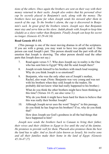*tions of the others. Once again the brothers are sent on their way with their money returned in their sacks. Joseph also orders that his personal silver cup be secretly placed in Benjamin's sack, along with the money. The brothers have not gone far when Joseph sends his steward after them in search of the cup. To the brother's alarm, the cup is discovered in Benjamin's sack. In great grief the brothers return. Joseph says that Benjamin must stay and serve him as his slave. Judah pleads with Joseph to keep him (Judah) as a slave rather than Benjamin. Finally Joseph can keep his secret no longer. (Genesis 43:29-44:34)*

#### **Read Genesis 45:1-15.**

(This passage is one of the most moving dramas in all of the scriptures. If you are with a group, you may want to have two people read it. One person can read Joseph's part. This person should read the part with all the emotion that Joseph is showing. The other person should read the other parts that Joseph does not say.)

- 7. Read again verses 5-7. Who does Joseph say in reality is the One who has sent him to Egypt? Why did He send Joseph there?
- 8. Joseph reveals himself to his brothers with much loud weeping. Why do you think Joseph is so emotional?
- 9. Benjamin, who was the only other son of Joseph's mother, Rachel, also wept. (Note: Benjamin was very young and was not with his brothers when they sold Joseph to the traders. He probably did not know what had really happened to his brother.)

What do you think the other brothers might have been thinking at this time? (Verses 14-15, see also verse 3.)

Why do you think it might have been hard for them to believe that this was really their brother Joseph?

10. Although Joseph never uses the word "forgive" in this passage, do you think he has forgiven his brothers? If so, why do you think that?

How does Joseph see God's goodness in all the bad things that have happened to him?

*Joseph now sends the brothers back to Canaan to bring their father, their wives and their children to Egypt to live until the end of the famine. He promises to provide well for them. Pharaoh also promises them the best the land has to offer. And so Jacob (also known as Israel), his twelve sons and all their families make their home in the land of Egypt. (Genesis 45:16-47:27)*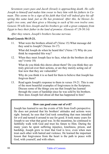*Seventeen years pass and Jacob (Israel) is approaching death. He calls Joseph to himself and makes him swear to bury him with his fathers in Canaan. This seems to be a sign of his faith that God will indeed give his offspring this same land, just as He has promised. After this, he blesses Joseph's two sons, and then gives a blessing to each of his own twelve sons. Genesis 50 tells how Joseph and his brothers go with a great company from Egypt to bury their father in the land of promise. (Genesis 47:28-50:14)*

*After they return, Joseph's brothers become nervous.* 

## **Read Genesis 50:15-21.**

11. What were the brothers afraid of? (Verse 15) What message did they send to Joseph? (Verses 16-17)

What did Joseph do when he heard this? (Verse 17) Why do you think he responded this way?

12. When they meet Joseph face to face, what do the brothers do and say? (verse 18)

What do you think this shows about them? Do you think they are truly grieved over their actions, or are they merely acting out of fear now that they are vulnerable?

Why do you think it is so hard for them to believe that Joseph has forgiven them?

13. Read again Joseph's response to them in verses 19-21. This is one of the most beautiful examples of forgiveness in the Scriptures. Discuss some of the things you see that Joseph has learned through the years of hardship since he was sold by his brothers. How does Joseph feel about all that has happened to him?

#### **How can good come out of evil?**

Joseph has learned to see the events of life from God's perspective. He does not pretend that his brothers' attitudes and actions were right. Instead, he sees that God took something that men intended for evil and turned it around to use for good. It took many years for Joseph to see what that good was. In the meantime, he continued to faithfully walk with God and trust his future to Him. During the many years he spent suffering injustice, loneliness, prison, and hardship, Joseph grew to trust that God is love, even when men treat each other with hatred and violence. He learned the important lesson that forgiveness from the heart is the path to peace with God, with yourself, and with others.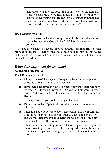The Apostle Paul wrote about this in his letter to the Romans. Read Romans 8:28. Now read it again. God is sovereignly in control of everything, and He can turn bad things around to use them for good in our lives and the lives of others. Will you trust Him when bad things come into your life?

#### **Read Genesis 50:24-26.**

14. In these verses, what does Joseph say to his brothers that shows that he believes that God will be faithful to His covenant promise?

Although we have no record of God directly speaking His covenant promise to Joseph, it surely must have been told to him by his father. Hebrews 11:22 tells us that Joseph, like Abraham, had faith that God would do what He had said.

## *What does this mean for us today?*  **Application and Prayer**

### **Read Romans 12:19-21.**

- 1) Discuss some of the ways that Joseph is a beautiful example of someone who did what this passage says.
- 2) Have there been times in your life when you were treated wrongly by others? Did you plan revenge? Did you hold bitterness in your heart? Or did you trust God to make things right in His way and in His time?

If not, what will you do differently in the future?

- 3) Discuss examples of practical ways that you can overcome evil with good.
- 4) Often it is not easy for us to obey these verses. It is not natural for us to show kindness to those who treat us with hatred or cruelty. But we must remember that as believers, we have the Holy Spirit living inside of us. He promises to help us in our weakness.

Take some time now to pray and ask God to give you His grace to show love to your enemies. If there are specific incidents in your life where people have wronged you, talk to Him about those now.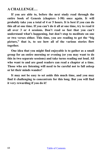## **A CHALLENGE…**

**If you are able to, before the next study read through the entire book of Genesis (chapters 1-50) once again. It will probably take you a total of 4 or 5 hours. It is best if you can do this all at one time. If you can't do it all at one time, try to read it all over 3 or 4 sessions. Don't read so fast that you can't understand what's happening, but don't stop to meditate on one or two verses either. This time, you are reading to get the "big picture," that is, to see how all of the various stories flow together.** 

**One idea that you might find enjoyable is to gather as a small group for an entire morning or evening (or you may want to do this in two separate sessions) and take turns reading out loud. All who want to and are good readers can read a chapter at a time. Those who are listening will need to be careful not to fall asleep or let their minds wander!**

**It may not be easy to set aside this much time, and you may find it challenging to concentrate for this long. But you will find it very rewarding if you do it!**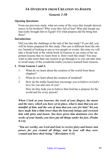## **14. OVERVIEW FROM CREATION TO JOSEPH**

## *Genesis 1-50*

### **Opening Questions:**

From our previous study, what are some of the ways that Joseph showed mercy to his brothers? Why were they full of fear? Who did Joseph say had really brought him to Egypt? For what purpose did He bring him there?

#### **Introduction:**

Did you take the challenge at the end of the last study? If you did, you will be better prepared for this study. This one is different from the others. Instead of looking at one or two people or events, this time we will take a broad look at the whole book of Genesis to see some of the important lessons that we learn from it. Don't rush this study! You may want to take more than one session to go through it so you can take time to recall many of the wonderful truths you have learned from Genesis.

#### **I. From Genesis 1 and 2:**

- 1. What do we learn about the creation of the world from these chapters?
- 2. What do we learn about the creation of mankind?
- 3. How do the truths found here encourage you to believe in God's love for you and care of you?

How do they help you to believe that God has a purpose for the world and for every person?

*When I look at your heavens, the work of your fingers, the moon and the stars, which you have set in place, what is man that you are mindful of him, and the son of man that you care for him? Yet you have made him a little lower than the heavenly beings and crowned him with glory and honor. You have given him dominion over the works of your hands; you have put all things under his feet. (Psalm 8:3-6)*

*"You are worthy, our Lord and God, to receive glory and honor and power, for you created all things, and by your will they were created and have their being." (Revelation 4:11)*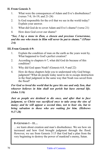## **II. From Genesis 3:**

- 1. What were the consequences of Adam and Eve's disobedience? (verses 7-8; 16-19; and 21-24)
- 2. Is God responsible for the evil that we see in the world today? Explain your answer.
- 3. What did God do to cover Adam and Eve's shame? (verse 21)
- 4. How does God cover our shame?

#### *"See, I lay a stone in Zion, a chosen and precious Cornerstone, and the one who trusts in Him will never be put to shame." (1Peter 2:6)*

### **III.From Genesis 4-9:**

- 1. Explain the condition of man on the earth as the years went by. What happened to God's perfect creation?
- 2. According to chapters 6-7, what did God do because of this condition?
- 3. Why did God spare Noah? (Genesis 6:8, 9 and 22)
- 4. How do these chapters help you to understand why God brings judgment? What do people today need to do to escape destruction in the final judgment in the same way that Noah was saved from the flood?

## *For God so loved the world that he gave his one and only Son, that whoever believes in him shall not perish but have eternal life. (John 3:16)*

*Just as people are destined to die once, and after that to face judgment, so Christ was sacrificed once to take away the sins of many; and he will appear a second time, not to bear sin, but to bring salvation to those who are waiting for him. (Hebrews 9:27-28)*

## **IN GENESIS 1 – 11…**

…we learn about creation and man's disobedience. We see how sin increased and how God brought judgment through the flood. However, we see from Genesis 3:15 that God had a plan from the very beginning to destroy the power of mankind's enemy, Satan.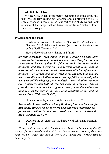**IN GENESIS 12 – 50…**

… we see God, in His great mercy, beginning to bring about this plan. We see Him calling out Abraham and his offspring to be His specially chosen people. In the next part of this study we will look at some of the things that we have learned from Abraham, Isaac, Jacob, and Joseph.

#### **IV. Abraham and Isaac**

1. Read God's promise to Abraham in Genesis 12:1-3 and also in Genesis 15:1-5. Why was Abraham (Abram) counted righteous before God? (Genesis 15:6)

How did Abraham show that he had faith?

*By faith Abraham, when called to go to a place he would later receive as his inheritance, obeyed and went, even though he did not know where he was going. By faith he made his home in the promised land like a stranger in a foreign country; he lived in tents, as did Isaac and Jacob, who were heirs with him of the same promise. For he was looking forward to the city with foundations, whose architect and builder is God. And by faith even Sarah, who was past childbearing age, was enabled to bear children because she considered him faithful who had made the promise. And so from this one man, and he as good as dead, came descendants as numerous as the stars in the sky and as countless as the sand on the seashore. (Hebrews 11:8-12)*

How are we today counted righteous before God?

*The words "it was credited to him [Abraham]" were written not for him alone, but also for us, to whom God will credit righteousness for us who believe in him who raised Jesus our Lord from the dead. (Romans 4:23-24)*

2. Describe the covenant that God made with Abraham. (Genesis 17:1-10)

*Throughout the rest of the Old Testament, God will be teaching the offspring of Abraham—the nation of Israel, how to live as people of the covenant. He will teach them how to live as His people and worship Him as their only God.*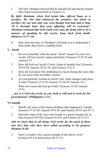3. Tell how Abraham showed that he feared God and that he trusted Him when God tested him in Genesis 22.

*By faith Abraham, when God tested him, offered Isaac as a sacrifice. He who had embraced the promises was about to sacrifice his one and only son, even though God had said to him, "It is through Isaac that your offspring will be reckoned." Abraham reasoned that God could even raise the dead, and so in a manner of speaking he did receive Isaac back from death. (Hebrews 11:17-19)*

4. How does the story of Abraham's life help you to understand a little better that God is a faithful God?

#### **V. Jacob**

- 1. Do you remember what the name "Jacob" means? In your own words, tell how Jacob's name suited him. (Genesis 25:29-34 and Genesis 27)
- 2. How did God use Jacob's Uncle Laban to humble him? (Genesis 29:16-30; Genesis 30:25-36; and Genesis 31:6-7)
- 3. How did God show His faithfulness to Jacob during the years that he was away from his father's home?
- 4. As God patiently worked in Jacob's life, what changes took place in him? (Genesis 32:9-10; Genesis 33:18-20; Genesis 35:3

What new name did God give him? (Genesis 32:28; Genesis 35:9)

## *…for it is God who works in you, both to will and to work for his good pleasure. (Philippians 2:13)*

#### **VI. Joseph**

- 1. Briefly tell some of the unjust incidents that happened to Joseph. (Genesis 37:23-28; Genesis 39:6-20; and Genesis 40:23 and 41:1)
- 2. Describe some of the ways that Joseph is a good example for us. (See Genesis 39:6-20, Genesis 45:4-8, and Genesis 50:15-21)

## *And we know that in all things God works for the good of those who love him, who have been called according to his purpose. (Romans 8:28)*

3. How is Joseph's life a good example of the above verse? (Genesis 45:4-8 and Genesis 50:15-21)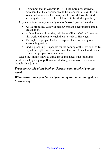4. Remember that in Genesis 15:13-14 the Lord prophesied to Abraham that his offspring would be strangers in Egypt for 400 years. In Genesis 46:1-4 He repeats this word. How did God sovereignly move in the life of Joseph to fulfill this prophecy?

As you continue on in your study of God's Word you will see that:

- As He promised, God will make Abraham's descendants into a great nation.
- Although many times they will be rebellious. God will continually work with them to teach them to walk in His ways.
- Through His people, God will display His power and glory to the surrounding nations.
- God is preparing His people for the coming of the Savior. Finally, in just the right time, God will send His Son, Jesus, the Messiah, to save all people from their sins.

Take a few minutes now to think about and discuss the following questions with your group. If you are studying alone, write down your thoughts in a journal.

# *From your study of the book of Genesis, what touched you the most?*

*What lessons have you learned personally that have changed you in some way?*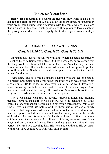# **TO DO ON YOUR OWN**

**Below are suggestions of several studies you may want to do which are not included in this book.** You could read them alone, or someone in your group could guide your discussion with the same type of questions that are used in this book. Such questions will help you to look closely at the passages and discuss how to apply the truths to your lives in today's world.

## **ABRAHAM AND ISAAC WITH KINGS**

### *Genesis 12:10-20; Genesis 20; Genesis 26:6-11*

Abraham had several encounters with kings where he acted deceptively. He called his wife Sarah "my sister." On both occasions, he was afraid that the king would kill him and take her as his wife. Actually, they did take Sarah because he called her his sister. Abraham used deception to protect himself, which put Sarah in a very difficult place. The Lord intervened to protect Sarah's purity.

Years later, Isaac followed his father's example with another king named Abimelek. (Abimelek means "my father the king" which was probably not a name but a title for kings in those days, similar to the word "Pharaoh.") Isaac, following his father's habit, called Rebekah his sister. Again God intervened and saved her purity. The writer of Genesis tells us that the kings rebuked Abraham and Isaac for their deception.

The Bible makes clear that all people... prophets, kings, and ordinary people... have fallen short of God's glory. All need salvation by God's grace. No one will appear before God in his own righteousness. Only Jesus Christ lived a perfect life before God. In these studies we see a family weakness that began with Abraham and came out in other children born later: deception. Such deception caused problems many times in the family of Abraham. And so it is with us. The habits we form are often seen in our children when they grow up. As followers of Jesus, we must learn God's ways and put off our old ways. None of these great men of faith were perfect. Yet, God was teaching them His ways and continuing His covenant with them. They continued to walk with Him by faith.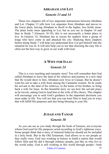#### **ABRAHAM AND LOT**

### *Genesis 13 and 14*

These two chapters tell of two important interactions between Abraham and Lot. Chapter 13 tells how Lot separates from Abraham and moves to the lower plain, leaving Abraham to dwell in the higher, less fertile areas. The plain looks more appealing to Lot, but as you see in chapter 14 and then in Study 7 (Genesis 18-19), this is not necessarily a better place to live. In Genesis 14, Abraham has to rescue his nephew from a group of kings who have come in and attacked his city. Studying these chapters before doing Study 7 will help you understand how Lot got himself into the situation he was in. It will also help you to see that choosing the easy life is often not the best way to grow in our walk with God.

## **A WIFE FOR ISAAC**

### *Genesis 24*

This is a very touching and romantic story! You will remember that God called Abraham to leave the land of his relatives and journey to a new land that He would show to him. Abraham now lives in Canaan. But he doesn't want his son to take a wife from among the Canaanite women. So he sends his servant to the land of his relatives, to the home of his brother, to bring back a wife for Isaac. In this beautiful story we see how the servant prays as he travels, asking God to lead him to the wife of His choice. This chapter will encourage you to seek God's guidance in the important decisions you must make in life. You will see that you can trust Him to lead you in ways that will fulfill His purposes and also bring blessing to your life.

## **JUDAH AND TAMAR**

### *Genesis 38*

As you can see as you study through the book of Genesis, not everyone whom God used for His purposes acted according to God's righteous ways. Some people think that a story of immoral behavior should not be included in a holy book. But in the Old Testament, God allows us to see people as they really were. God was working in history to build a nation that would follow Him and He did it through ordinary people, just like us who live in the world today. God is still working in this world through people—both

Table of Contents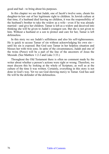good and bad—to bring about his purposes.

In this chapter we see that Judah, one of Jacob's twelve sons, cheats his daughter-in-law out of her legitimate right to children. In Jewish culture at that time, if a husband died leaving no children, it was the responsibility of the husband's brother to take the widow as a wife—even if he was already married—and give her children. Tamar is left as a widow and deceived into thinking she will be given to Judah's youngest son. But she is not given to him. Without a husband or a son to protect and care for her, Tamar is left defenseless.

In this story we see Judah's selfishness and also his self-righteousness. He is quick to accuse Tamar of sin without acknowledging his own sin until his sin is exposed. But God sees Tamar in her helpless situation and blesses her with twin sons. In spite of the circumstances, Judah and one of the twins (Perez) will be a part of the line of the ancestors of Jesus the Messiah. (See Matthew 1:2-3 and Luke 3:33.)

Throughout the Old Testament there is often no comment made by the writer about whether a person's actions were right or wrong. Therefore, we must discern this by looking at the whole of Scripture, as well as at the culture of the time it was written. Certainly, everything in this story is not done in God's way. Yet we see God showing mercy to Tamar. God has said He will be the defender of the defenseless.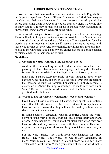# **GUIDELINES FOR TRANSLATORS**

You will note that these studies have been written in simple English. It is our hope that speakers of many different languages will find them easy to translate into their own language. It is not necessary to ask permission before translating them. However, if you do translate them, we would like to know about it. It may be possible for us to include your translation on our website (www.learnhisways.com) in the future.

We also ask that you follow the guidelines given below in translating. These will help to keep the studies as close as possible to the Scriptures and to the original design of the writers of the study. The suggestions for what words to use are especially important if these studies are to be used with those who are not yet believers. For example, in cultures that are sometimes hostile to the Christian faith, a better word choice can build a bridge instead of raising a barrier to their coming to faith.

#### **Guidelines:**

#### **1. Use actual words from the Bible for direct quotes.**

Anytime there is anything in quotes, if it is taken from the Bible, please go to the Bible in your own language and copy directly what is there. Do not translate from the English quote. Also, as you are

translating a study, keep the Bible in your language open to the passage being studied, and try to use the same terms that are used in that passage as much as possible. For example, in study 6 there is discussion of Abram learning to worship. He made sacrifices on an "altar." Be sure to use the word in your Bible for "altar," not a word you find in the dictionary.

#### **2. Words to use for "Bible," "Christian," "God" and "Christ."**

Even though these are studies in Genesis, they speak to Christians and often take the reader to the New Testament for application. However, we are aware that they will also be used by believers who share them with unbelievers.

In some countries (especially Muslim countries), using the words above or some form of these words can cause unnecessary anger and offense. Some people still think about religious wars when they hear these words, and they associate them with their enemies. Therefore, in your translating please think carefully about the words that you use.

For the word "Bible," use words from your language for "Holy Book," "The Word," God's Word," or "Old or New Testament." In many Muslim countries, "Injil" is a good word to use for "New Testament." For the word "God," you should choose the word that is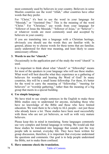most commonly used by believers in your country. Believers in some Muslim countries use the word "Allah," other countries have other words that they prefer.

For "Christ," it's best to use the word in your language for "Messiah," or "Anointed One." This is the meaning of the word "Christ." For "Christian," use words from your language for "follower of Jesus the Messiah," "follower of Jesus," or "believer"- or whatever words are most commonly used and accepted by believers in your country.

If you are translating into a language with a Christian heritage, obviously you should use the words they are familiar with. In general, please try to choose words for these terms that are familiar, easily understood for their true meaning, and least likely to cause unnecessary offense.

### **3. Words to use for "church."**

Occasionally in the application part of the study the word "church" is used.

It is important to think about what "church" or "fellowship" means for most of the speakers in your language who will use these studies. What word will best describe what they experience as a gathering of believers for worship and hearing the Word of God? In many countries, this will be a small home fellowship. For them, it's better for the word to carry the meaning of "fellowship," "meeting for believers" or "worship gathering," rather than the meaning of a big group that meets in a special building.

### **4. Use simple language.**

We have tried to use simple sentences in the English to make these Bible studies easy to understand for anyone, including those who have no knowledge of the Bible and those who have limited education. We want them to be a help to ALL people—not just those who already know a lot. These studies have been used successfully with those who are not yet believers, as well as with very mature **believers** 

Please keep this in mind in translating. Some languages commonly use very complex and formal language in writing. We would ask that these studies be translated into language that sounds just the way people talk in normal, everyday life. They have been written for group discussion, therefore, it is important that everyone understand the questions and comments. Our goal is to help people understand the Bible, not to make them confused.

## **5. Have someone check the translation.**